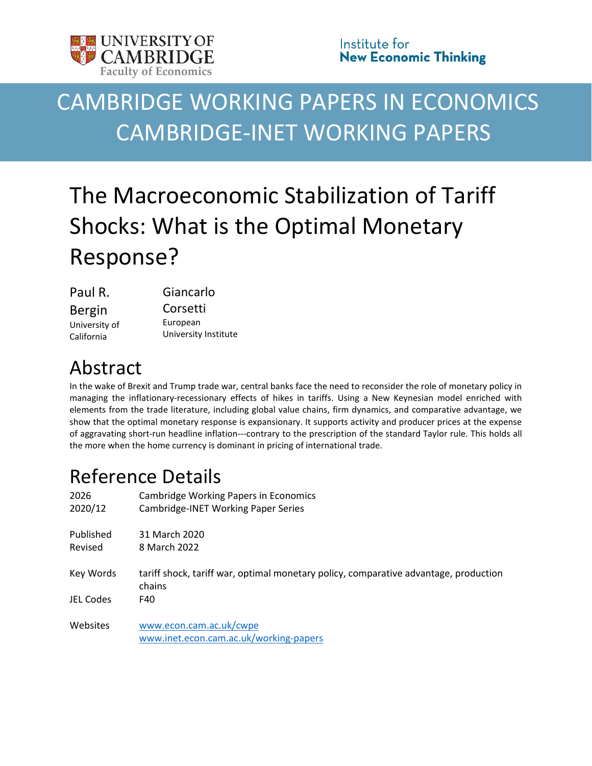

# CAMBRIDGE WORKING PAPERS IN ECONOMICS CAMBRIDGE-INET WORKING PAPERS

# The Macroeconomic Stabilization of Tariff Shocks: What is the Optimal Monetary Response?

| Paul R.       | Giancarlo            |  |  |  |  |
|---------------|----------------------|--|--|--|--|
| <b>Bergin</b> | Corsetti             |  |  |  |  |
| University of | European             |  |  |  |  |
| California    | University Institute |  |  |  |  |

# Abstract

In the wake of Brexit and Trump trade war, central banks face the need to reconsider the role of monetary policy in managing the inflationary-recessionary effects of hikes in tariffs. Using a New Keynesian model enriched with elements from the trade literature, including global value chains, firm dynamics, and comparative advantage, we show that the optimal monetary response is expansionary. It supports activity and producer prices at the expense of aggravating short-run headline inflation---contrary to the prescription of the standard Taylor rule. This holds all the more when the home currency is dominant in pricing of international trade.

# Reference Details

| 2026<br>2020/12      | <b>Cambridge Working Papers in Economics</b><br>Cambridge-INET Working Paper Series            |
|----------------------|------------------------------------------------------------------------------------------------|
| Published<br>Revised | 31 March 2020<br>8 March 2022                                                                  |
| Key Words            | tariff shock, tariff war, optimal monetary policy, comparative advantage, production<br>chains |
| JEL Codes            | F40                                                                                            |
| Websites             | www.econ.cam.ac.uk/cwpe<br>www.inet.econ.cam.ac.uk/working-papers                              |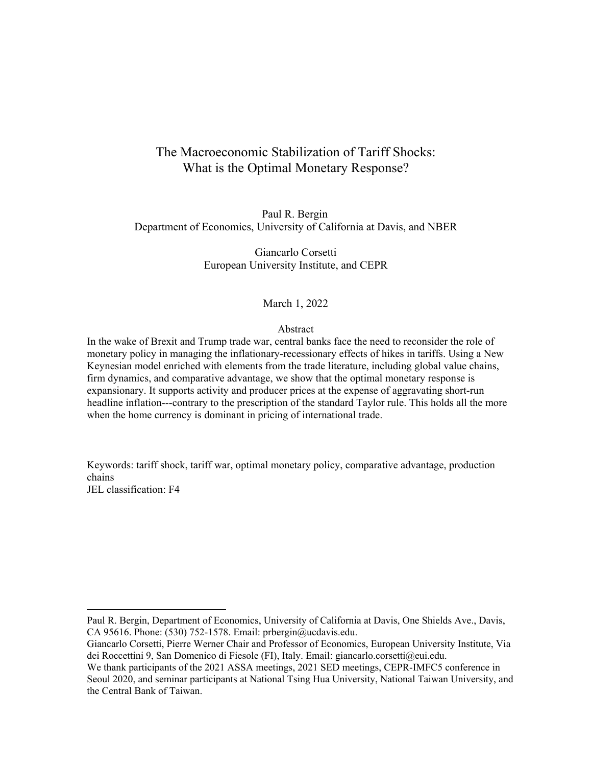### The Macroeconomic Stabilization of Tariff Shocks: What is the Optimal Monetary Response?

Paul R. Bergin Department of Economics, University of California at Davis, and NBER

> Giancarlo Corsetti European University Institute, and CEPR

#### March 1, 2022

#### Abstract

In the wake of Brexit and Trump trade war, central banks face the need to reconsider the role of monetary policy in managing the inflationary-recessionary effects of hikes in tariffs. Using a New Keynesian model enriched with elements from the trade literature, including global value chains, firm dynamics, and comparative advantage, we show that the optimal monetary response is expansionary. It supports activity and producer prices at the expense of aggravating short-run headline inflation---contrary to the prescription of the standard Taylor rule. This holds all the more when the home currency is dominant in pricing of international trade.

Keywords: tariff shock, tariff war, optimal monetary policy, comparative advantage, production chains JEL classification: F4

Paul R. Bergin, Department of Economics, University of California at Davis, One Shields Ave., Davis, CA 95616. Phone: (530) 752-1578. Email: prbergin@ucdavis.edu.

Giancarlo Corsetti, Pierre Werner Chair and Professor of Economics, European University Institute, Via dei Roccettini 9, San Domenico di Fiesole (FI), Italy. Email: giancarlo.corsetti@eui.edu.

We thank participants of the 2021 ASSA meetings, 2021 SED meetings, CEPR-IMFC5 conference in Seoul 2020, and seminar participants at National Tsing Hua University, National Taiwan University, and the Central Bank of Taiwan.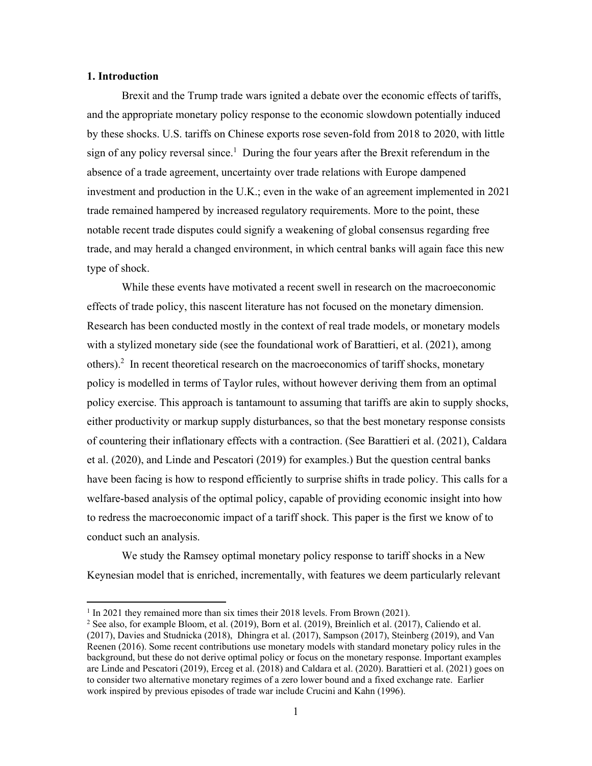#### **1. Introduction**

 $\overline{a}$ 

Brexit and the Trump trade wars ignited a debate over the economic effects of tariffs, and the appropriate monetary policy response to the economic slowdown potentially induced by these shocks. U.S. tariffs on Chinese exports rose seven-fold from 2018 to 2020, with little sign of any policy reversal since.<sup>1</sup> During the four years after the Brexit referendum in the absence of a trade agreement, uncertainty over trade relations with Europe dampened investment and production in the U.K.; even in the wake of an agreement implemented in 2021 trade remained hampered by increased regulatory requirements. More to the point, these notable recent trade disputes could signify a weakening of global consensus regarding free trade, and may herald a changed environment, in which central banks will again face this new type of shock.

While these events have motivated a recent swell in research on the macroeconomic effects of trade policy, this nascent literature has not focused on the monetary dimension. Research has been conducted mostly in the context of real trade models, or monetary models with a stylized monetary side (see the foundational work of Barattieri, et al. (2021), among others).<sup>2</sup> In recent theoretical research on the macroeconomics of tariff shocks, monetary policy is modelled in terms of Taylor rules, without however deriving them from an optimal policy exercise. This approach is tantamount to assuming that tariffs are akin to supply shocks, either productivity or markup supply disturbances, so that the best monetary response consists of countering their inflationary effects with a contraction. (See Barattieri et al. (2021), Caldara et al. (2020), and Linde and Pescatori (2019) for examples.) But the question central banks have been facing is how to respond efficiently to surprise shifts in trade policy. This calls for a welfare-based analysis of the optimal policy, capable of providing economic insight into how to redress the macroeconomic impact of a tariff shock. This paper is the first we know of to conduct such an analysis.

 We study the Ramsey optimal monetary policy response to tariff shocks in a New Keynesian model that is enriched, incrementally, with features we deem particularly relevant

<sup>&</sup>lt;sup>1</sup> In 2021 they remained more than six times their 2018 levels. From Brown (2021).

<sup>&</sup>lt;sup>2</sup> See also, for example Bloom, et al. (2019), Born et al. (2019), Breinlich et al. (2017), Caliendo et al. (2017), Davies and Studnicka (2018), Dhingra et al. (2017), Sampson (2017), Steinberg (2019), and Van Reenen (2016). Some recent contributions use monetary models with standard monetary policy rules in the background, but these do not derive optimal policy or focus on the monetary response. Important examples are Linde and Pescatori (2019), Erceg et al. (2018) and Caldara et al. (2020). Barattieri et al. (2021) goes on to consider two alternative monetary regimes of a zero lower bound and a fixed exchange rate. Earlier work inspired by previous episodes of trade war include Crucini and Kahn (1996).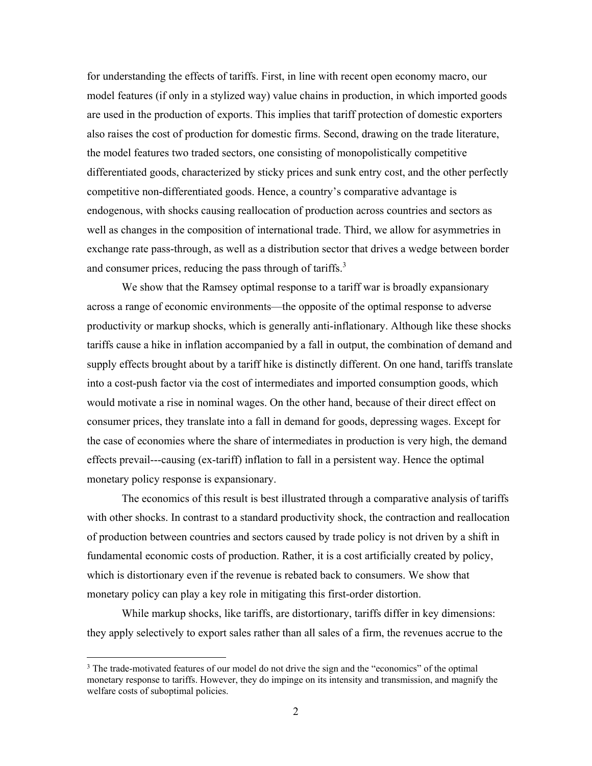for understanding the effects of tariffs. First, in line with recent open economy macro, our model features (if only in a stylized way) value chains in production, in which imported goods are used in the production of exports. This implies that tariff protection of domestic exporters also raises the cost of production for domestic firms. Second, drawing on the trade literature, the model features two traded sectors, one consisting of monopolistically competitive differentiated goods, characterized by sticky prices and sunk entry cost, and the other perfectly competitive non-differentiated goods. Hence, a country's comparative advantage is endogenous, with shocks causing reallocation of production across countries and sectors as well as changes in the composition of international trade. Third, we allow for asymmetries in exchange rate pass-through, as well as a distribution sector that drives a wedge between border and consumer prices, reducing the pass through of tariffs. $3$ 

We show that the Ramsey optimal response to a tariff war is broadly expansionary across a range of economic environments—the opposite of the optimal response to adverse productivity or markup shocks, which is generally anti-inflationary. Although like these shocks tariffs cause a hike in inflation accompanied by a fall in output, the combination of demand and supply effects brought about by a tariff hike is distinctly different. On one hand, tariffs translate into a cost-push factor via the cost of intermediates and imported consumption goods, which would motivate a rise in nominal wages. On the other hand, because of their direct effect on consumer prices, they translate into a fall in demand for goods, depressing wages. Except for the case of economies where the share of intermediates in production is very high, the demand effects prevail---causing (ex-tariff) inflation to fall in a persistent way. Hence the optimal monetary policy response is expansionary.

The economics of this result is best illustrated through a comparative analysis of tariffs with other shocks. In contrast to a standard productivity shock, the contraction and reallocation of production between countries and sectors caused by trade policy is not driven by a shift in fundamental economic costs of production. Rather, it is a cost artificially created by policy, which is distortionary even if the revenue is rebated back to consumers. We show that monetary policy can play a key role in mitigating this first-order distortion.

While markup shocks, like tariffs, are distortionary, tariffs differ in key dimensions: they apply selectively to export sales rather than all sales of a firm, the revenues accrue to the

<sup>&</sup>lt;sup>3</sup> The trade-motivated features of our model do not drive the sign and the "economics" of the optimal monetary response to tariffs. However, they do impinge on its intensity and transmission, and magnify the welfare costs of suboptimal policies.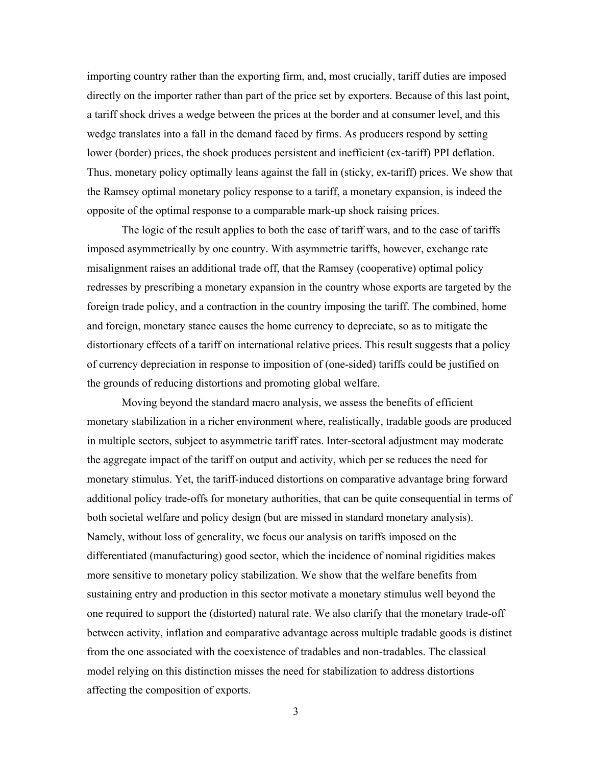importing country rather than the exporting firm, and, most crucially, tariff duties are imposed directly on the importer rather than part of the price set by exporters. Because of this last point, a tariff shock drives a wedge between the prices at the border and at consumer level, and this wedge translates into a fall in the demand faced by firms. As producers respond by setting lower (border) prices, the shock produces persistent and inefficient (ex-tariff) PPI deflation. Thus, monetary policy optimally leans against the fall in (sticky, ex-tariff) prices. We show that the Ramsey optimal monetary policy response to a tariff, a monetary expansion, is indeed the opposite of the optimal response to a comparable mark-up shock raising prices.

The logic of the result applies to both the case of tariff wars, and to the case of tariffs imposed asymmetrically by one country. With asymmetric tariffs, however, exchange rate misalignment raises an additional trade off, that the Ramsey (cooperative) optimal policy redresses by prescribing a monetary expansion in the country whose exports are targeted by the foreign trade policy, and a contraction in the country imposing the tariff. The combined, home and foreign, monetary stance causes the home currency to depreciate, so as to mitigate the distortionary effects of a tariff on international relative prices. This result suggests that a policy of currency depreciation in response to imposition of (one-sided) tariffs could be justified on the grounds of reducing distortions and promoting global welfare.

Moving beyond the standard macro analysis, we assess the benefits of efficient monetary stabilization in a richer environment where, realistically, tradable goods are produced in multiple sectors, subject to asymmetric tariff rates. Inter-sectoral adjustment may moderate the aggregate impact of the tariff on output and activity, which per se reduces the need for monetary stimulus. Yet, the tariff-induced distortions on comparative advantage bring forward additional policy trade-offs for monetary authorities, that can be quite consequential in terms of both societal welfare and policy design (but are missed in standard monetary analysis). Namely, without loss of generality, we focus our analysis on tariffs imposed on the differentiated (manufacturing) good sector, which the incidence of nominal rigidities makes more sensitive to monetary policy stabilization. We show that the welfare benefits from sustaining entry and production in this sector motivate a monetary stimulus well beyond the one required to support the (distorted) natural rate. We also clarify that the monetary trade-off between activity, inflation and comparative advantage across multiple tradable goods is distinct from the one associated with the coexistence of tradables and non-tradables. The classical model relying on this distinction misses the need for stabilization to address distortions affecting the composition of exports.

3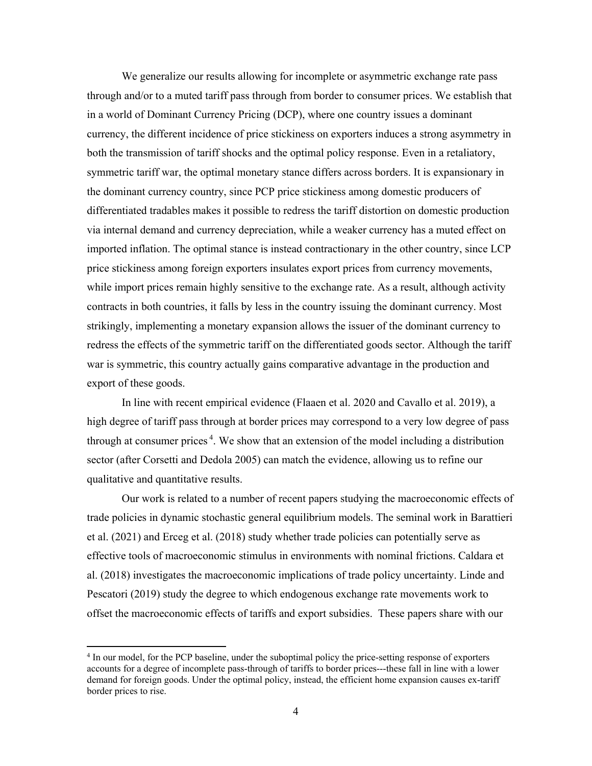We generalize our results allowing for incomplete or asymmetric exchange rate pass through and/or to a muted tariff pass through from border to consumer prices. We establish that in a world of Dominant Currency Pricing (DCP), where one country issues a dominant currency, the different incidence of price stickiness on exporters induces a strong asymmetry in both the transmission of tariff shocks and the optimal policy response. Even in a retaliatory, symmetric tariff war, the optimal monetary stance differs across borders. It is expansionary in the dominant currency country, since PCP price stickiness among domestic producers of differentiated tradables makes it possible to redress the tariff distortion on domestic production via internal demand and currency depreciation, while a weaker currency has a muted effect on imported inflation. The optimal stance is instead contractionary in the other country, since LCP price stickiness among foreign exporters insulates export prices from currency movements, while import prices remain highly sensitive to the exchange rate. As a result, although activity contracts in both countries, it falls by less in the country issuing the dominant currency. Most strikingly, implementing a monetary expansion allows the issuer of the dominant currency to redress the effects of the symmetric tariff on the differentiated goods sector. Although the tariff war is symmetric, this country actually gains comparative advantage in the production and export of these goods.

In line with recent empirical evidence (Flaaen et al. 2020 and Cavallo et al. 2019), a high degree of tariff pass through at border prices may correspond to a very low degree of pass through at consumer prices<sup>4</sup>. We show that an extension of the model including a distribution sector (after Corsetti and Dedola 2005) can match the evidence, allowing us to refine our qualitative and quantitative results.

Our work is related to a number of recent papers studying the macroeconomic effects of trade policies in dynamic stochastic general equilibrium models. The seminal work in Barattieri et al. (2021) and Erceg et al. (2018) study whether trade policies can potentially serve as effective tools of macroeconomic stimulus in environments with nominal frictions. Caldara et al. (2018) investigates the macroeconomic implications of trade policy uncertainty. Linde and Pescatori (2019) study the degree to which endogenous exchange rate movements work to offset the macroeconomic effects of tariffs and export subsidies. These papers share with our

<sup>&</sup>lt;sup>4</sup> In our model, for the PCP baseline, under the suboptimal policy the price-setting response of exporters accounts for a degree of incomplete pass-through of tariffs to border prices---these fall in line with a lower demand for foreign goods. Under the optimal policy, instead, the efficient home expansion causes ex-tariff border prices to rise.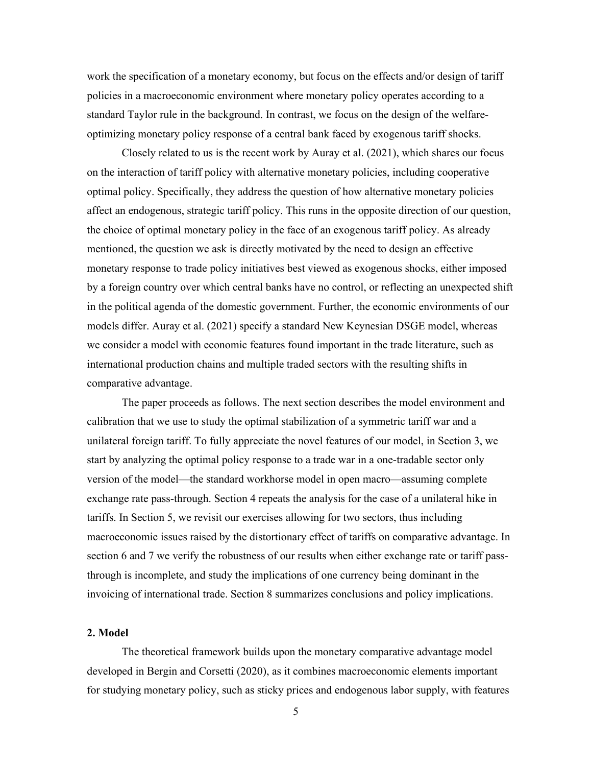work the specification of a monetary economy, but focus on the effects and/or design of tariff policies in a macroeconomic environment where monetary policy operates according to a standard Taylor rule in the background. In contrast, we focus on the design of the welfareoptimizing monetary policy response of a central bank faced by exogenous tariff shocks.

Closely related to us is the recent work by Auray et al. (2021), which shares our focus on the interaction of tariff policy with alternative monetary policies, including cooperative optimal policy. Specifically, they address the question of how alternative monetary policies affect an endogenous, strategic tariff policy. This runs in the opposite direction of our question, the choice of optimal monetary policy in the face of an exogenous tariff policy. As already mentioned, the question we ask is directly motivated by the need to design an effective monetary response to trade policy initiatives best viewed as exogenous shocks, either imposed by a foreign country over which central banks have no control, or reflecting an unexpected shift in the political agenda of the domestic government. Further, the economic environments of our models differ. Auray et al. (2021) specify a standard New Keynesian DSGE model, whereas we consider a model with economic features found important in the trade literature, such as international production chains and multiple traded sectors with the resulting shifts in comparative advantage.

The paper proceeds as follows. The next section describes the model environment and calibration that we use to study the optimal stabilization of a symmetric tariff war and a unilateral foreign tariff. To fully appreciate the novel features of our model, in Section 3, we start by analyzing the optimal policy response to a trade war in a one-tradable sector only version of the model—the standard workhorse model in open macro—assuming complete exchange rate pass-through. Section 4 repeats the analysis for the case of a unilateral hike in tariffs. In Section 5, we revisit our exercises allowing for two sectors, thus including macroeconomic issues raised by the distortionary effect of tariffs on comparative advantage. In section 6 and 7 we verify the robustness of our results when either exchange rate or tariff passthrough is incomplete, and study the implications of one currency being dominant in the invoicing of international trade. Section 8 summarizes conclusions and policy implications.

#### **2. Model**

The theoretical framework builds upon the monetary comparative advantage model developed in Bergin and Corsetti (2020), as it combines macroeconomic elements important for studying monetary policy, such as sticky prices and endogenous labor supply, with features

5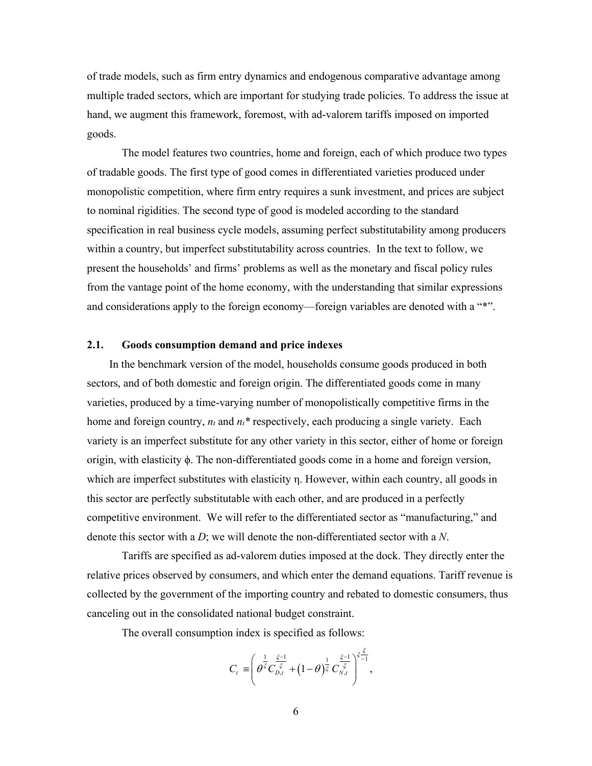of trade models, such as firm entry dynamics and endogenous comparative advantage among multiple traded sectors, which are important for studying trade policies. To address the issue at hand, we augment this framework, foremost, with ad-valorem tariffs imposed on imported goods.

The model features two countries, home and foreign, each of which produce two types of tradable goods. The first type of good comes in differentiated varieties produced under monopolistic competition, where firm entry requires a sunk investment, and prices are subject to nominal rigidities. The second type of good is modeled according to the standard specification in real business cycle models, assuming perfect substitutability among producers within a country, but imperfect substitutability across countries. In the text to follow, we present the households' and firms' problems as well as the monetary and fiscal policy rules from the vantage point of the home economy, with the understanding that similar expressions and considerations apply to the foreign economy—foreign variables are denoted with a "\*".

#### **2.1. Goods consumption demand and price indexes**

 In the benchmark version of the model, households consume goods produced in both sectors, and of both domestic and foreign origin. The differentiated goods come in many varieties, produced by a time-varying number of monopolistically competitive firms in the home and foreign country,  $n_t$  and  $n_t^*$  respectively, each producing a single variety. Each variety is an imperfect substitute for any other variety in this sector, either of home or foreign origin, with elasticity ϕ. The non-differentiated goods come in a home and foreign version, which are imperfect substitutes with elasticity η. However, within each country, all goods in this sector are perfectly substitutable with each other, and are produced in a perfectly competitive environment. We will refer to the differentiated sector as "manufacturing," and denote this sector with a *D*; we will denote the non-differentiated sector with a *N*.

 Tariffs are specified as ad-valorem duties imposed at the dock. They directly enter the relative prices observed by consumers, and which enter the demand equations. Tariff revenue is collected by the government of the importing country and rebated to domestic consumers, thus canceling out in the consolidated national budget constraint.

The overall consumption index is specified as follows:

$$
C_t = \left( \theta^{\frac{1}{\xi}} C_{D,t}^{\frac{\xi-1}{\xi}} + (1-\theta)^{\frac{1}{\xi}} C_{N,t}^{\frac{\xi-1}{\xi}} \right)^{\xi - 1 \over 2},
$$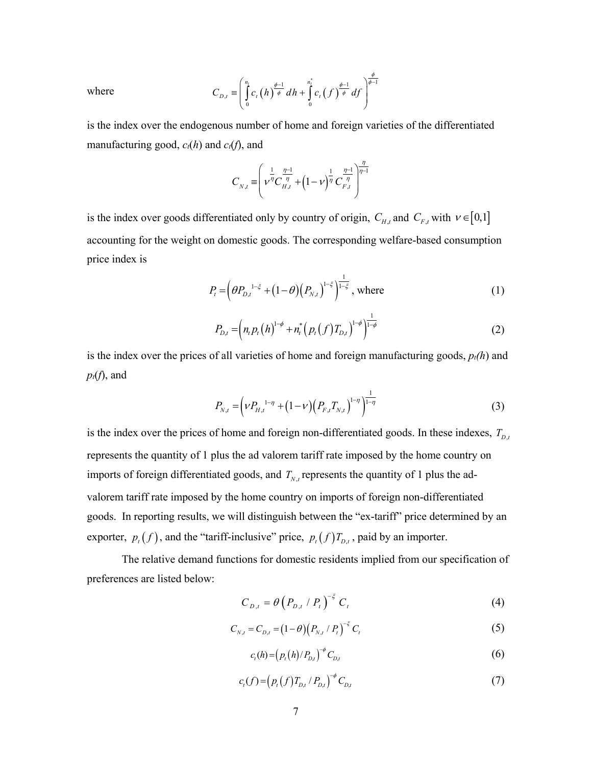where 
$$
C_{D,t} \equiv \left(\int\limits_{0}^{n_t} c_t(h) \frac{\phi^{-1}}{\phi} dh + \int\limits_{0}^{n_t^*} c_t(f) \frac{\phi^{-1}}{\phi} df\right)^{\phi \over \phi^{-1}}
$$

is the index over the endogenous number of home and foreign varieties of the differentiated manufacturing good,  $c_t(h)$  and  $c_t(f)$ , and

$$
C_{N,t} = \left(\nu^{\eta} C_{H,t}^{\frac{\eta-1}{\eta}} + \left(1-\nu\right)^{\frac{1}{\eta}} C_{F,t}^{\frac{\eta-1}{\eta}}\right)^{\frac{\eta}{\eta-1}}
$$

is the index over goods differentiated only by country of origin,  $C_{H,t}$  and  $C_{F,t}$  with  $v \in [0,1]$ accounting for the weight on domestic goods. The corresponding welfare-based consumption price index is

$$
P_{t} = \left(\theta P_{D,t}^{1-\xi} + (1-\theta)\left(P_{N,t}\right)^{1-\xi}\right)^{\frac{1}{1-\xi}}, \text{ where } (1)
$$

$$
P_{D,t} = \left( n_t p_t \left( h \right)^{1-\phi} + n_t^* \left( p_t \left( f \right) T_{D,t} \right)^{1-\phi} \right)^{\frac{1}{1-\phi}}
$$
(2)

is the index over the prices of all varieties of home and foreign manufacturing goods,  $p<sub>t</sub>(h)$  and  $p_t(f)$ , and

$$
P_{N,t} = \left(\nu P_{H,t}^{1-\eta} + (1-\nu)\left(P_{F,t}T_{N,t}\right)^{1-\eta}\right)^{\frac{1}{1-\eta}}
$$
\n(3)

is the index over the prices of home and foreign non-differentiated goods. In these indexes,  $T_{D,t}$ represents the quantity of 1 plus the ad valorem tariff rate imposed by the home country on imports of foreign differentiated goods, and  $T_{N,t}$  represents the quantity of 1 plus the advalorem tariff rate imposed by the home country on imports of foreign non-differentiated goods. In reporting results, we will distinguish between the "ex-tariff" price determined by an exporter,  $p_t(f)$ , and the "tariff-inclusive" price,  $p_t(f)T_{D,t}$ , paid by an importer.

 The relative demand functions for domestic residents implied from our specification of preferences are listed below:

$$
C_{D,t} = \theta \left( P_{D,t} / P_t \right)^{-\xi} C_t \tag{4}
$$

$$
C_{N,t} = C_{D,t} = (1 - \theta) (P_{N,t} / P_t)^{-\xi} C_t
$$
\n(5)

$$
c_{t}(h) = (p_{t}(h)/P_{D,t})^{-\phi} C_{D,t}
$$
 (6)

$$
c_{t}(f) = (p_{t}(f)T_{D,t} / P_{D,t})^{-\phi} C_{D,t}
$$
\n(7)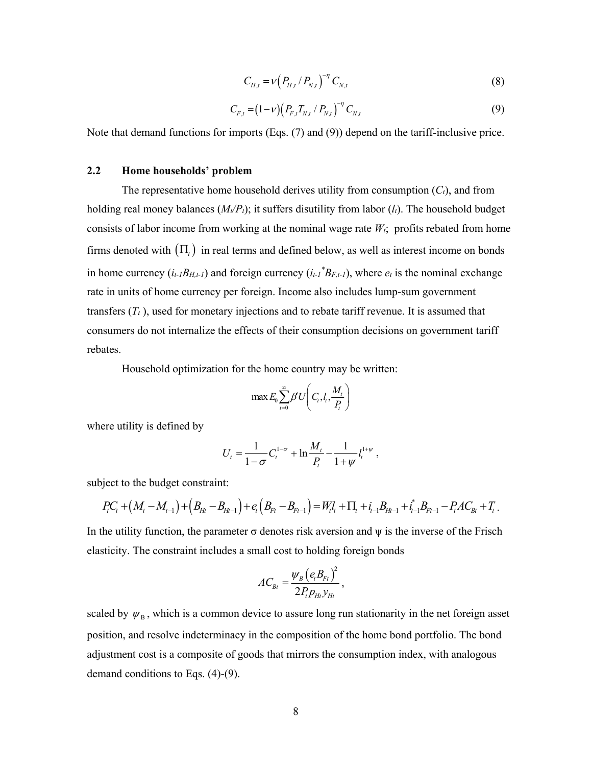$$
C_{H,t} = \nu \left( P_{H,t} / P_{N,t} \right)^{-\eta} C_{N,t}
$$
\n(8)

$$
C_{F,t} = (1 - \nu) \left( P_{F,t} T_{N,t} / P_{N,t} \right)^{-\eta} C_{N,t}
$$
\n(9)

Note that demand functions for imports (Eqs. (7) and (9)) depend on the tariff-inclusive price.

#### **2.2 Home households' problem**

The representative home household derives utility from consumption  $(C_t)$ , and from holding real money balances  $(M_t/P_t)$ ; it suffers disutility from labor  $(l_t)$ . The household budget consists of labor income from working at the nominal wage rate  $W_t$ ; profits rebated from home firms denoted with  $(\Pi_t)$  in real terms and defined below, as well as interest income on bonds in home currency  $(i_t \cdot B_{H,t-1})$  and foreign currency  $(i_t \cdot B_{F,t-1})$ , where  $e_t$  is the nominal exchange rate in units of home currency per foreign. Income also includes lump-sum government transfers  $(T_t)$ , used for monetary injections and to rebate tariff revenue. It is assumed that consumers do not internalize the effects of their consumption decisions on government tariff rebates.

Household optimization for the home country may be written:

$$
\max E_0 \sum_{t=0}^{\infty} \beta U \bigg( C_t, l_t, \frac{M_t}{P_t} \bigg)
$$

where utility is defined by

$$
U_t = \frac{1}{1-\sigma} C_t^{1-\sigma} + \ln \frac{M_t}{P_t} - \frac{1}{1+\psi} I_t^{1+\psi} ,
$$

subject to the budget constraint:

$$
P_{t}C_{t} + (M_{t} - M_{t-1}) + (B_{Ht} - B_{Ht-1}) + e_{t}(B_{Ft} - B_{Ft-1}) = W_{t}U_{t} + \Pi_{t} + i_{t-1}B_{Ht-1} + i_{t-1}^{*}B_{Ft-1} - P_{t}AC_{Bt} + T_{t}.
$$

In the utility function, the parameter  $\sigma$  denotes risk aversion and  $\psi$  is the inverse of the Frisch elasticity. The constraint includes a small cost to holding foreign bonds

$$
AC_{Bt} = \frac{\psi_B (e_i B_{Ft})^2}{2P_t p_{Ht} y_{Ht}},
$$

scaled by  $\psi_B$ , which is a common device to assure long run stationarity in the net foreign asset position, and resolve indeterminacy in the composition of the home bond portfolio. The bond adjustment cost is a composite of goods that mirrors the consumption index, with analogous demand conditions to Eqs. (4)-(9).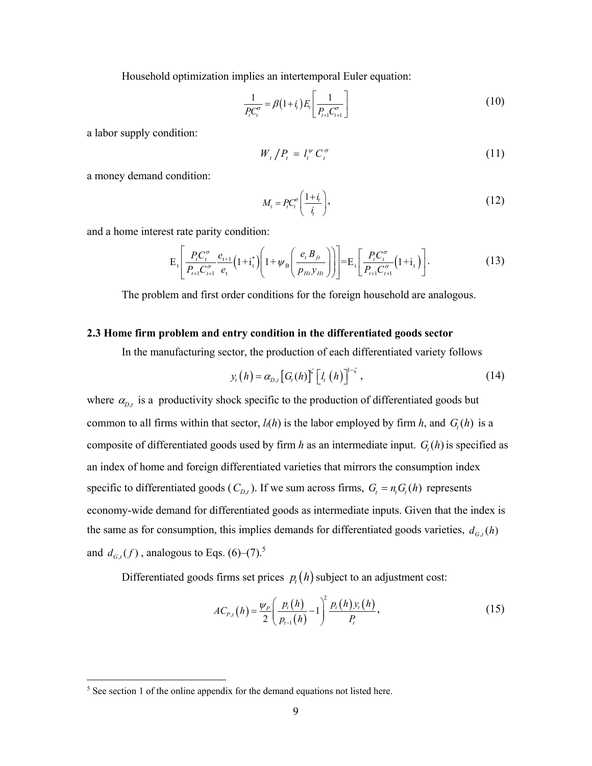Household optimization implies an intertemporal Euler equation:

$$
\frac{1}{P_{i}C_{i}^{\sigma}} = \beta(1+i_{i})E_{i}\left[\frac{1}{P_{i+1}C_{i+1}^{\sigma}}\right]
$$
(10)

a labor supply condition:

$$
W_t / P_t = l_t^{\psi} C_t^{\sigma} \tag{11}
$$

a money demand condition:

$$
M_t = P_t C_t^{\sigma} \left( \frac{1 + i_t}{i_t} \right),\tag{12}
$$

and a home interest rate parity condition:

$$
E_t\left[\frac{P_t C_t^{\sigma}}{P_{t+1} C_{t+1}^{\sigma}} \frac{e_{t+1}}{e_t} \left(1 + i_t^* \right) \left(1 + \psi_B \left(\frac{e_t B_{ft}}{P_{Ht} y_{Ht}}\right)\right)\right] = E_t\left[\frac{P_t C_t^{\sigma}}{P_{t+1} C_{t+1}^{\sigma}} \left(1 + i_t\right)\right].
$$
 (13)

The problem and first order conditions for the foreign household are analogous.

#### **2.3 Home firm problem and entry condition in the differentiated goods sector**

In the manufacturing sector, the production of each differentiated variety follows

$$
y_{t}(h) = \alpha_{D,t} \left[ G_{t}(h) \right]^{\zeta} \left[ l_{t}(h) \right]^{1-\zeta}, \qquad (14)
$$

where  $\alpha_{D,t}$  is a productivity shock specific to the production of differentiated goods but common to all firms within that sector,  $l_i(h)$  is the labor employed by firm  $h$ , and  $G_i(h)$  is a composite of differentiated goods used by firm *h* as an intermediate input.  $G<sub>i</sub>(h)$  is specified as an index of home and foreign differentiated varieties that mirrors the consumption index specific to differentiated goods ( $C_{D,t}$ ). If we sum across firms,  $G_t = n_t G_t(h)$  represents economy-wide demand for differentiated goods as intermediate inputs. Given that the index is the same as for consumption, this implies demands for differentiated goods varieties,  $d_{G,t}(h)$ and  $d_{G,t}(f)$ , analogous to Eqs. (6)–(7).<sup>5</sup>

Differentiated goods firms set prices  $p_t(h)$  subject to an adjustment cost:

$$
AC_{P,t}(h) = \frac{\psi_P}{2} \left( \frac{p_t(h)}{p_{t-1}(h)} - 1 \right)^2 \frac{p_t(h) y_t(h)}{P_t},
$$
\n(15)

<sup>&</sup>lt;sup>5</sup> See section 1 of the online appendix for the demand equations not listed here.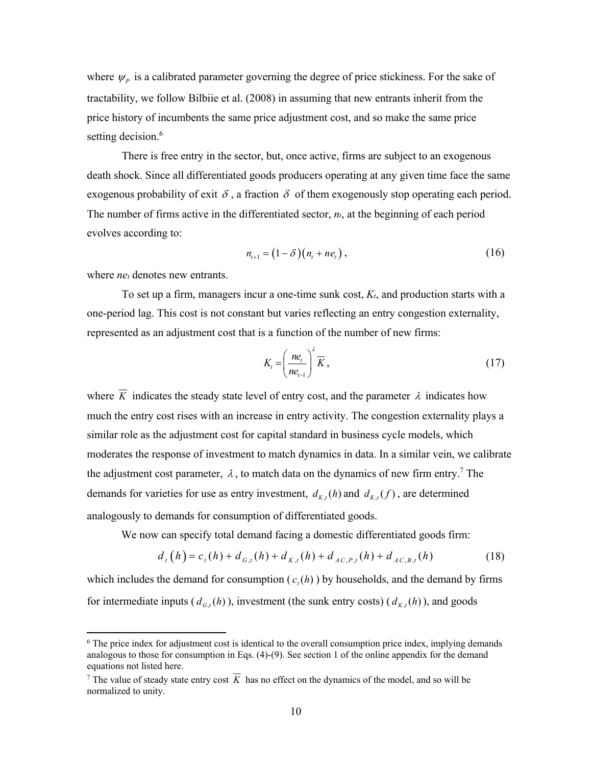where  $\psi_p$  is a calibrated parameter governing the degree of price stickiness. For the sake of tractability, we follow Bilbiie et al. (2008) in assuming that new entrants inherit from the price history of incumbents the same price adjustment cost, and so make the same price setting decision.<sup>6</sup>

There is free entry in the sector, but, once active, firms are subject to an exogenous death shock. Since all differentiated goods producers operating at any given time face the same exogenous probability of exit  $\delta$ , a fraction  $\delta$  of them exogenously stop operating each period. The number of firms active in the differentiated sector,  $n<sub>t</sub>$ , at the beginning of each period evolves according to:

$$
n_{t+1} = (1 - \delta)(n_t + n_e), \qquad (16)
$$

where *ne<sub>t</sub>* denotes new entrants.

 $\overline{a}$ 

To set up a firm, managers incur a one-time sunk cost, *Kt*, and production starts with a one-period lag. This cost is not constant but varies reflecting an entry congestion externality, represented as an adjustment cost that is a function of the number of new firms:

$$
K_{i} = \left(\frac{ne_{i}}{ne_{i-1}}\right)^{\lambda} \overline{K},\qquad(17)
$$

where  $\overline{K}$  indicates the steady state level of entry cost, and the parameter  $\lambda$  indicates how much the entry cost rises with an increase in entry activity. The congestion externality plays a similar role as the adjustment cost for capital standard in business cycle models, which moderates the response of investment to match dynamics in data. In a similar vein, we calibrate the adjustment cost parameter,  $\lambda$ , to match data on the dynamics of new firm entry.<sup>7</sup> The demands for varieties for use as entry investment,  $d_{K,t}(h)$  and  $d_{K,t}(f)$ , are determined analogously to demands for consumption of differentiated goods.

We now can specify total demand facing a domestic differentiated goods firm:

$$
d_t(h) = c_t(h) + d_{G,t}(h) + d_{K,t}(h) + d_{AC,P,t}(h) + d_{AC,B,t}(h)
$$
\n(18)

which includes the demand for consumption  $(c<sub>i</sub>(h))$  by households, and the demand by firms for intermediate inputs ( $d_{G_t}(h)$ ), investment (the sunk entry costs) ( $d_{K_t}(h)$ ), and goods

<sup>&</sup>lt;sup>6</sup> The price index for adjustment cost is identical to the overall consumption price index, implying demands analogous to those for consumption in Eqs. (4)-(9). See section 1 of the online appendix for the demand equations not listed here.

<sup>7</sup> The value of steady state entry cost *K* has no effect on the dynamics of the model, and so will be normalized to unity.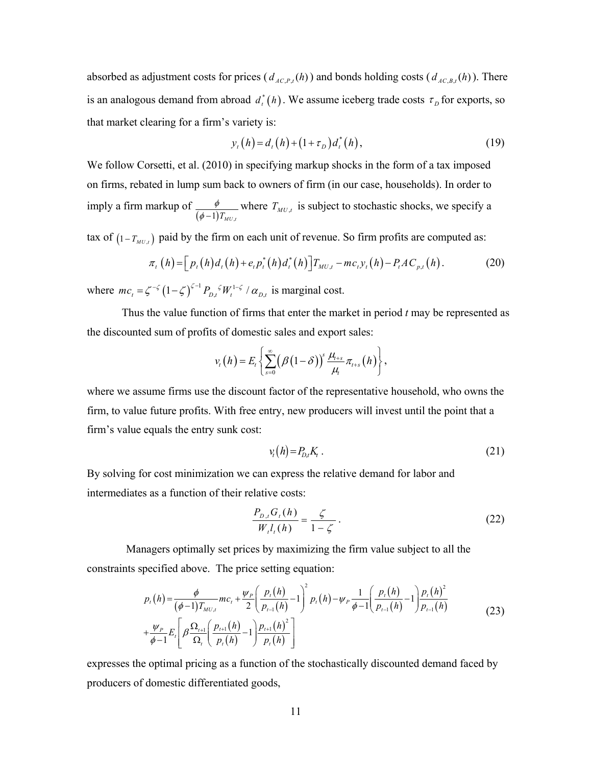absorbed as adjustment costs for prices  $(d_{AC, P, t}(h))$  and bonds holding costs  $(d_{AC, B, t}(h))$ . There is an analogous demand from abroad  $d_t^*(h)$ . We assume iceberg trade costs  $\tau_p$  for exports, so that market clearing for a firm's variety is:

$$
y_t(h) = d_t(h) + (1 + \tau_D)d_t^*(h),
$$
\n(19)

We follow Corsetti, et al. (2010) in specifying markup shocks in the form of a tax imposed on firms, rebated in lump sum back to owners of firm (in our case, households). In order to imply a firm markup of  $(\phi - 1) T_{_{MU,t}}$  $\phi$  $\frac{\phi}{\phi-1}T_{MU}$  where  $T_{MU,t}$  is subject to stochastic shocks, we specify a

tax of  $(1 - T_{MU,t})$  paid by the firm on each unit of revenue. So firm profits are computed as:

$$
\pi_{t}(h) = \Big[ p_{t}(h) d_{t}(h) + e_{t} p_{t}^{*}(h) d_{t}^{*}(h) \Big] T_{MU,t} - mc_{t} y_{t}(h) - P_{t} AC_{p,t}(h).
$$
 (20)

where  $mc_t = \zeta^{-\zeta} \left(1 - \zeta\right)^{\zeta - 1} P_{D,t}^{\zeta} W_t^{1 - \zeta} / \alpha_{D,t}$  is marginal cost.

Thus the value function of firms that enter the market in period *t* may be represented as the discounted sum of profits of domestic sales and export sales:

$$
v_{t}(h)=E_{t}\left\{\sum_{s=0}^{\infty}\big(\beta(1-\delta)\big)^{s}\frac{\mu_{t+s}}{\mu_{t}}\pi_{t+s}(h)\right\},\,
$$

where we assume firms use the discount factor of the representative household, who owns the firm, to value future profits. With free entry, new producers will invest until the point that a firm's value equals the entry sunk cost:

$$
v_t(h) = P_{D,t} K_t \tag{21}
$$

By solving for cost minimization we can express the relative demand for labor and intermediates as a function of their relative costs:

$$
\frac{P_{D,i}G_i(h)}{W_i l_i(h)} = \frac{\zeta}{1-\zeta}.
$$
\n(22)

 Managers optimally set prices by maximizing the firm value subject to all the constraints specified above. The price setting equation:

$$
p_{t}(h) = \frac{\phi}{(\phi-1)T_{MU,t}} mc_{t} + \frac{\psi_{P}}{2} \left(\frac{p_{t}(h)}{p_{t-1}(h)} - 1\right)^{2} p_{t}(h) - \psi_{P} \frac{1}{\phi-1} \left(\frac{p_{t}(h)}{p_{t-1}(h)} - 1\right) \frac{p_{t}(h)^{2}}{p_{t-1}(h)}
$$
  
+ 
$$
\frac{\psi_{P}}{\phi-1} E_{t} \left[\beta \frac{\Omega_{t+1}}{\Omega_{t}} \left(\frac{p_{t+1}(h)}{p_{t}(h)} - 1\right) \frac{p_{t+1}(h)^{2}}{p_{t}(h)}\right]
$$
(23)

expresses the optimal pricing as a function of the stochastically discounted demand faced by producers of domestic differentiated goods,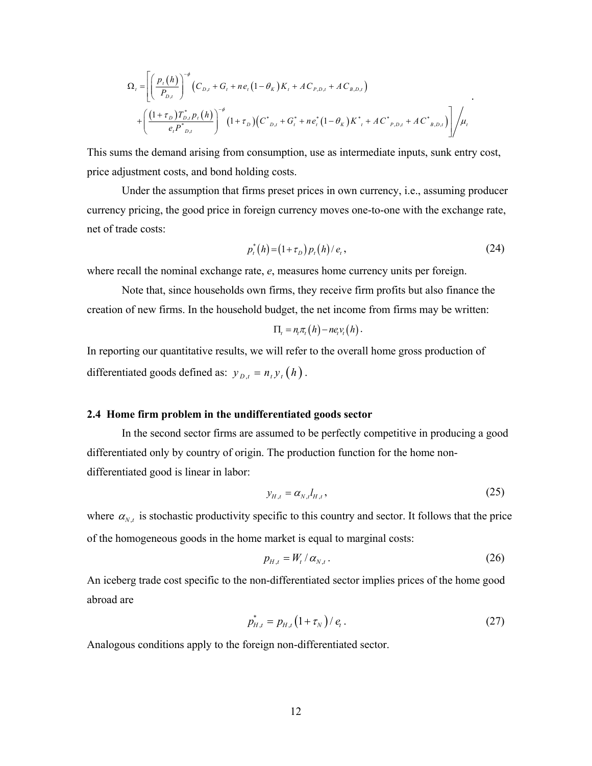$$
\Omega_{t} = \left[ \left( \frac{p_{t}(h)}{P_{D,t}} \right)^{-\phi} \left( C_{D,t} + G_{t} + ne_{t} \left( 1 - \theta_{K} \right) K_{t} + AC_{P,D,t} + AC_{B,D,t} \right) \right]
$$
  
+ 
$$
\left( \frac{\left( 1 + \tau_{D} \right) T_{D,t}^{*} p_{t}(h)}{e_{t} P^{*}_{D,t}} \right)^{-\phi} \left( 1 + \tau_{D} \right) \left( C^{*}_{D,t} + G_{t}^{*} + ne_{t}^{*} \left( 1 - \theta_{K} \right) K^{*}_{t} + AC^{*}_{P,D,t} + AC^{*}_{B,D,t} \right) \right] / \mu_{t}
$$

This sums the demand arising from consumption, use as intermediate inputs, sunk entry cost, price adjustment costs, and bond holding costs.

Under the assumption that firms preset prices in own currency, i.e., assuming producer currency pricing, the good price in foreign currency moves one-to-one with the exchange rate, net of trade costs:

$$
p_t^*(h) = (1 + \tau_D) p_t(h) / e_t, \qquad (24)
$$

.

where recall the nominal exchange rate, *e*, measures home currency units per foreign.

Note that, since households own firms, they receive firm profits but also finance the creation of new firms. In the household budget, the net income from firms may be written:

$$
\Pi_t = n_t \pi_t(h) - n e_t v_t(h).
$$

In reporting our quantitative results, we will refer to the overall home gross production of differentiated goods defined as:  $y_{D,t} = n_t y_t (h)$ .

#### **2.4 Home firm problem in the undifferentiated goods sector**

In the second sector firms are assumed to be perfectly competitive in producing a good differentiated only by country of origin. The production function for the home nondifferentiated good is linear in labor:

$$
y_{H,t} = \alpha_{N,t} l_{H,t},\tag{25}
$$

where  $\alpha_{N,t}$  is stochastic productivity specific to this country and sector. It follows that the price of the homogeneous goods in the home market is equal to marginal costs:

$$
p_{H,t} = W_t / \alpha_{N,t} \,. \tag{26}
$$

An iceberg trade cost specific to the non-differentiated sector implies prices of the home good abroad are

$$
p_{H,t}^* = p_{H,t} \left( 1 + \tau_N \right) / e_t \,. \tag{27}
$$

Analogous conditions apply to the foreign non-differentiated sector.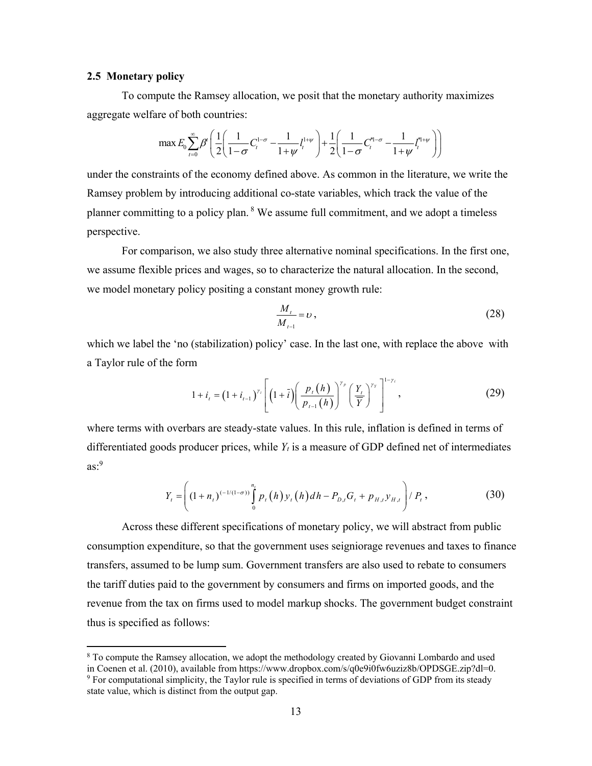#### **2.5 Monetary policy**

 $\overline{a}$ 

To compute the Ramsey allocation, we posit that the monetary authority maximizes aggregate welfare of both countries:

$$
\max E_0 \sum_{t=0}^{\infty} \beta^t \left( \frac{1}{2} \left( \frac{1}{1-\sigma} C_t^{1-\sigma} - \frac{1}{1+\psi} l_i^{1+\psi} \right) + \frac{1}{2} \left( \frac{1}{1-\sigma} C_t^{n-1-\sigma} - \frac{1}{1+\psi} l_i^{n+1/\psi} \right) \right)
$$

under the constraints of the economy defined above. As common in the literature, we write the Ramsey problem by introducing additional co-state variables, which track the value of the planner committing to a policy plan.  $8$  We assume full commitment, and we adopt a timeless perspective.

 For comparison, we also study three alternative nominal specifications. In the first one, we assume flexible prices and wages, so to characterize the natural allocation. In the second, we model monetary policy positing a constant money growth rule:

$$
\frac{M_t}{M_{t-1}} = v \,,\tag{28}
$$

which we label the 'no (stabilization) policy' case. In the last one, with replace the above with a Taylor rule of the form

$$
1 + i_{t} = (1 + i_{t-1})^{\gamma_{i}} \left[ \left( 1 + \overline{i} \right) \left( \frac{p_{t} \left( h \right)}{p_{t-1} \left( h \right)} \right)^{\gamma_{p}} \left( \frac{Y_{t}}{\overline{Y}} \right)^{\gamma_{Y}} \right]^{1 - \gamma_{i}}, \tag{29}
$$

where terms with overbars are steady-state values. In this rule, inflation is defined in terms of differentiated goods producer prices, while *Yt* is a measure of GDP defined net of intermediates  $as.^9$ 

$$
Y_{t} = \left( (1 + n_{t})^{(-1/(1-\sigma))} \int_{0}^{n_{t}} p_{t}(h) y_{t}(h) dh - P_{D,t} G_{t} + p_{H,t} y_{H,t} \right) / P_{t}, \qquad (30)
$$

Across these different specifications of monetary policy, we will abstract from public consumption expenditure, so that the government uses seigniorage revenues and taxes to finance transfers, assumed to be lump sum. Government transfers are also used to rebate to consumers the tariff duties paid to the government by consumers and firms on imported goods, and the revenue from the tax on firms used to model markup shocks. The government budget constraint thus is specified as follows:

<sup>&</sup>lt;sup>8</sup> To compute the Ramsey allocation, we adopt the methodology created by Giovanni Lombardo and used in Coenen et al. (2010), available from https://www.dropbox.com/s/q0e9i0fw6uziz8b/OPDSGE.zip?dl=0. <sup>9</sup> For computational simplicity, the Taylor rule is specified in terms of deviations of GDP from its steady state value, which is distinct from the output gap.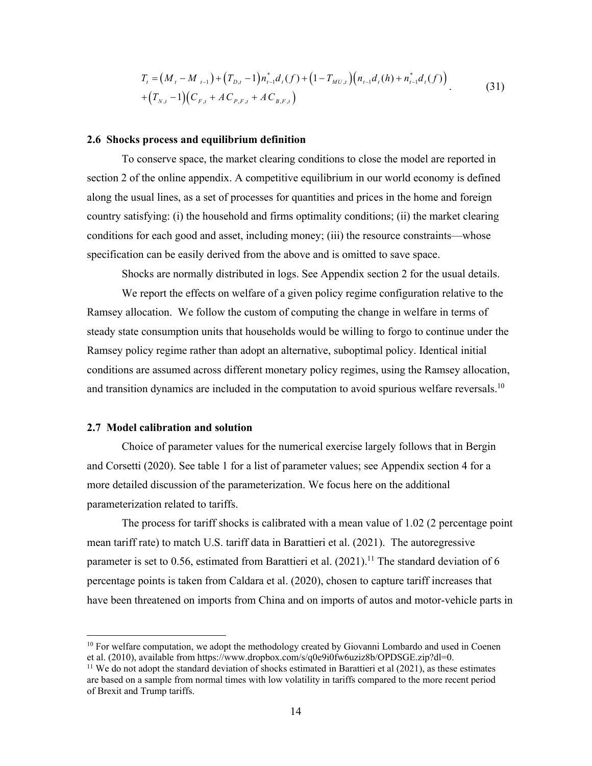$$
T_{t} = (M_{t} - M_{t-1}) + (T_{D,t} - 1) n_{t-1}^{*} d_{t}(f) + (1 - T_{MU,t}) (n_{t-1} d_{t}(h) + n_{t-1}^{*} d_{t}(f))
$$
  
+ 
$$
(T_{N,t} - 1)(C_{F,t} + AC_{P,F,t} + AC_{B,F,t})
$$
 (31)

#### **2.6 Shocks process and equilibrium definition**

To conserve space, the market clearing conditions to close the model are reported in section 2 of the online appendix. A competitive equilibrium in our world economy is defined along the usual lines, as a set of processes for quantities and prices in the home and foreign country satisfying: (i) the household and firms optimality conditions; (ii) the market clearing conditions for each good and asset, including money; (iii) the resource constraints—whose specification can be easily derived from the above and is omitted to save space.

Shocks are normally distributed in logs. See Appendix section 2 for the usual details.

We report the effects on welfare of a given policy regime configuration relative to the Ramsey allocation. We follow the custom of computing the change in welfare in terms of steady state consumption units that households would be willing to forgo to continue under the Ramsey policy regime rather than adopt an alternative, suboptimal policy. Identical initial conditions are assumed across different monetary policy regimes, using the Ramsey allocation, and transition dynamics are included in the computation to avoid spurious welfare reversals.<sup>10</sup>

#### **2.7 Model calibration and solution**

 $\overline{a}$ 

Choice of parameter values for the numerical exercise largely follows that in Bergin and Corsetti (2020). See table 1 for a list of parameter values; see Appendix section 4 for a more detailed discussion of the parameterization. We focus here on the additional parameterization related to tariffs.

 The process for tariff shocks is calibrated with a mean value of 1.02 (2 percentage point mean tariff rate) to match U.S. tariff data in Barattieri et al. (2021). The autoregressive parameter is set to 0.56, estimated from Barattieri et al.  $(2021)$ .<sup>11</sup> The standard deviation of 6 percentage points is taken from Caldara et al. (2020), chosen to capture tariff increases that have been threatened on imports from China and on imports of autos and motor-vehicle parts in

<sup>&</sup>lt;sup>10</sup> For welfare computation, we adopt the methodology created by Giovanni Lombardo and used in Coenen et al. (2010), available from https://www.dropbox.com/s/q0e9i0fw6uziz8b/OPDSGE.zip?dl=0.

<sup>&</sup>lt;sup>11</sup> We do not adopt the standard deviation of shocks estimated in Barattieri et al (2021), as these estimates are based on a sample from normal times with low volatility in tariffs compared to the more recent period of Brexit and Trump tariffs.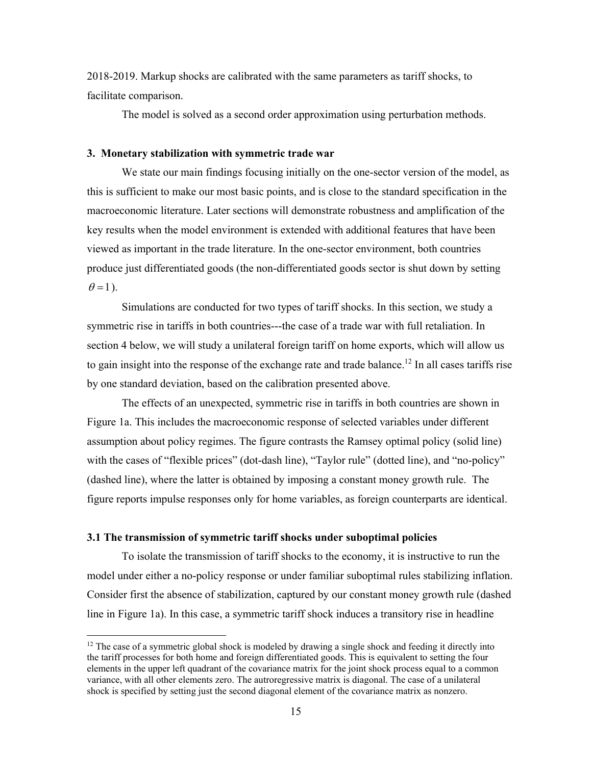2018-2019. Markup shocks are calibrated with the same parameters as tariff shocks, to facilitate comparison.

The model is solved as a second order approximation using perturbation methods.

#### **3. Monetary stabilization with symmetric trade war**

We state our main findings focusing initially on the one-sector version of the model, as this is sufficient to make our most basic points, and is close to the standard specification in the macroeconomic literature. Later sections will demonstrate robustness and amplification of the key results when the model environment is extended with additional features that have been viewed as important in the trade literature. In the one-sector environment, both countries produce just differentiated goods (the non-differentiated goods sector is shut down by setting  $\theta$ =1).

Simulations are conducted for two types of tariff shocks. In this section, we study a symmetric rise in tariffs in both countries---the case of a trade war with full retaliation. In section 4 below, we will study a unilateral foreign tariff on home exports, which will allow us to gain insight into the response of the exchange rate and trade balance.<sup>12</sup> In all cases tariffs rise by one standard deviation, based on the calibration presented above.

The effects of an unexpected, symmetric rise in tariffs in both countries are shown in Figure 1a. This includes the macroeconomic response of selected variables under different assumption about policy regimes. The figure contrasts the Ramsey optimal policy (solid line) with the cases of "flexible prices" (dot-dash line), "Taylor rule" (dotted line), and "no-policy" (dashed line), where the latter is obtained by imposing a constant money growth rule. The figure reports impulse responses only for home variables, as foreign counterparts are identical.

#### **3.1 The transmission of symmetric tariff shocks under suboptimal policies**

 $\overline{a}$ 

To isolate the transmission of tariff shocks to the economy, it is instructive to run the model under either a no-policy response or under familiar suboptimal rules stabilizing inflation. Consider first the absence of stabilization, captured by our constant money growth rule (dashed line in Figure 1a). In this case, a symmetric tariff shock induces a transitory rise in headline

 $12$  The case of a symmetric global shock is modeled by drawing a single shock and feeding it directly into the tariff processes for both home and foreign differentiated goods. This is equivalent to setting the four elements in the upper left quadrant of the covariance matrix for the joint shock process equal to a common variance, with all other elements zero. The autroregressive matrix is diagonal. The case of a unilateral shock is specified by setting just the second diagonal element of the covariance matrix as nonzero.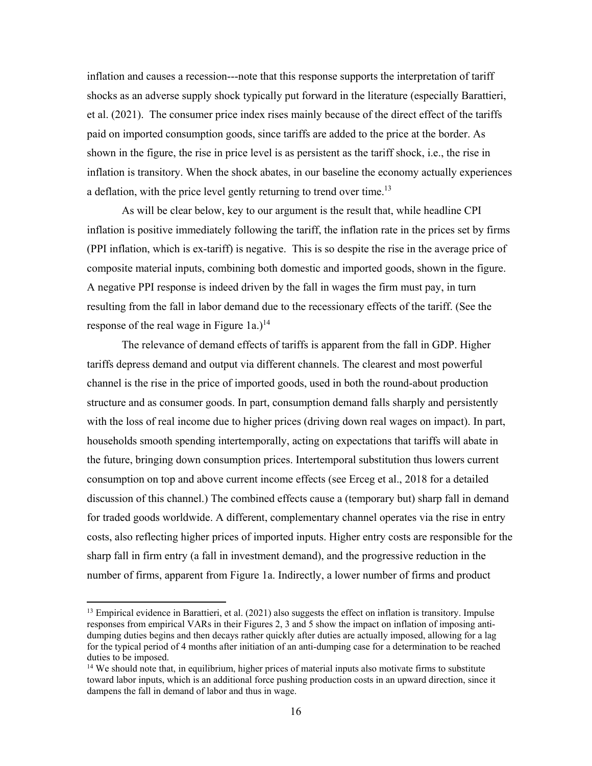inflation and causes a recession---note that this response supports the interpretation of tariff shocks as an adverse supply shock typically put forward in the literature (especially Barattieri, et al. (2021). The consumer price index rises mainly because of the direct effect of the tariffs paid on imported consumption goods, since tariffs are added to the price at the border. As shown in the figure, the rise in price level is as persistent as the tariff shock, i.e., the rise in inflation is transitory. When the shock abates, in our baseline the economy actually experiences a deflation, with the price level gently returning to trend over time.<sup>13</sup>

As will be clear below, key to our argument is the result that, while headline CPI inflation is positive immediately following the tariff, the inflation rate in the prices set by firms (PPI inflation, which is ex-tariff) is negative. This is so despite the rise in the average price of composite material inputs, combining both domestic and imported goods, shown in the figure. A negative PPI response is indeed driven by the fall in wages the firm must pay, in turn resulting from the fall in labor demand due to the recessionary effects of the tariff. (See the response of the real wage in Figure 1a.)<sup>14</sup>

The relevance of demand effects of tariffs is apparent from the fall in GDP. Higher tariffs depress demand and output via different channels. The clearest and most powerful channel is the rise in the price of imported goods, used in both the round-about production structure and as consumer goods. In part, consumption demand falls sharply and persistently with the loss of real income due to higher prices (driving down real wages on impact). In part, households smooth spending intertemporally, acting on expectations that tariffs will abate in the future, bringing down consumption prices. Intertemporal substitution thus lowers current consumption on top and above current income effects (see Erceg et al., 2018 for a detailed discussion of this channel.) The combined effects cause a (temporary but) sharp fall in demand for traded goods worldwide. A different, complementary channel operates via the rise in entry costs, also reflecting higher prices of imported inputs. Higher entry costs are responsible for the sharp fall in firm entry (a fall in investment demand), and the progressive reduction in the number of firms, apparent from Figure 1a. Indirectly, a lower number of firms and product

 $<sup>13</sup>$  Empirical evidence in Barattieri, et al. (2021) also suggests the effect on inflation is transitory. Impulse</sup> responses from empirical VARs in their Figures 2, 3 and 5 show the impact on inflation of imposing antidumping duties begins and then decays rather quickly after duties are actually imposed, allowing for a lag for the typical period of 4 months after initiation of an anti-dumping case for a determination to be reached duties to be imposed.

<sup>&</sup>lt;sup>14</sup> We should note that, in equilibrium, higher prices of material inputs also motivate firms to substitute toward labor inputs, which is an additional force pushing production costs in an upward direction, since it dampens the fall in demand of labor and thus in wage.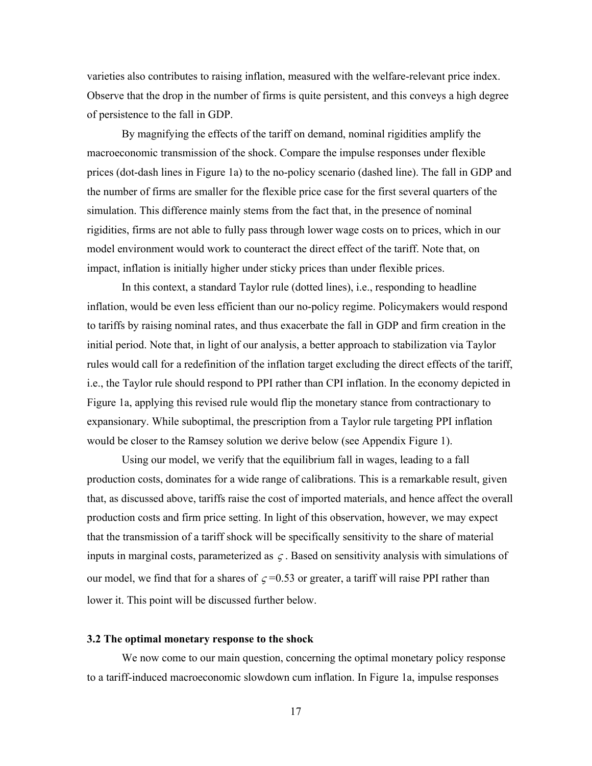varieties also contributes to raising inflation, measured with the welfare-relevant price index. Observe that the drop in the number of firms is quite persistent, and this conveys a high degree of persistence to the fall in GDP.

By magnifying the effects of the tariff on demand, nominal rigidities amplify the macroeconomic transmission of the shock. Compare the impulse responses under flexible prices (dot-dash lines in Figure 1a) to the no-policy scenario (dashed line). The fall in GDP and the number of firms are smaller for the flexible price case for the first several quarters of the simulation. This difference mainly stems from the fact that, in the presence of nominal rigidities, firms are not able to fully pass through lower wage costs on to prices, which in our model environment would work to counteract the direct effect of the tariff. Note that, on impact, inflation is initially higher under sticky prices than under flexible prices.

In this context, a standard Taylor rule (dotted lines), i.e., responding to headline inflation, would be even less efficient than our no-policy regime. Policymakers would respond to tariffs by raising nominal rates, and thus exacerbate the fall in GDP and firm creation in the initial period. Note that, in light of our analysis, a better approach to stabilization via Taylor rules would call for a redefinition of the inflation target excluding the direct effects of the tariff, i.e., the Taylor rule should respond to PPI rather than CPI inflation. In the economy depicted in Figure 1a, applying this revised rule would flip the monetary stance from contractionary to expansionary. While suboptimal, the prescription from a Taylor rule targeting PPI inflation would be closer to the Ramsey solution we derive below (see Appendix Figure 1).

Using our model, we verify that the equilibrium fall in wages, leading to a fall production costs, dominates for a wide range of calibrations. This is a remarkable result, given that, as discussed above, tariffs raise the cost of imported materials, and hence affect the overall production costs and firm price setting. In light of this observation, however, we may expect that the transmission of a tariff shock will be specifically sensitivity to the share of material inputs in marginal costs, parameterized as  $\zeta$ . Based on sensitivity analysis with simulations of our model, we find that for a shares of  $\zeta = 0.53$  or greater, a tariff will raise PPI rather than lower it. This point will be discussed further below.

#### **3.2 The optimal monetary response to the shock**

We now come to our main question, concerning the optimal monetary policy response to a tariff-induced macroeconomic slowdown cum inflation. In Figure 1a, impulse responses

17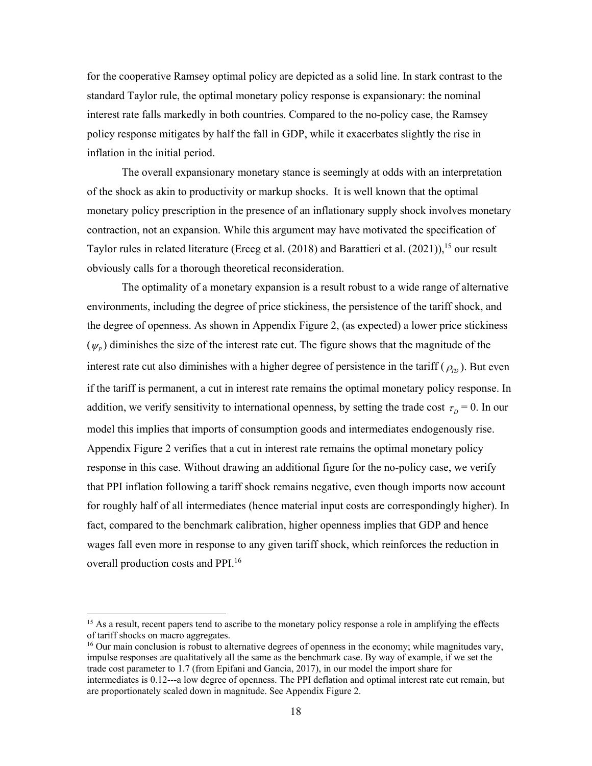for the cooperative Ramsey optimal policy are depicted as a solid line. In stark contrast to the standard Taylor rule, the optimal monetary policy response is expansionary: the nominal interest rate falls markedly in both countries. Compared to the no-policy case, the Ramsey policy response mitigates by half the fall in GDP, while it exacerbates slightly the rise in inflation in the initial period.

The overall expansionary monetary stance is seemingly at odds with an interpretation of the shock as akin to productivity or markup shocks. It is well known that the optimal monetary policy prescription in the presence of an inflationary supply shock involves monetary contraction, not an expansion. While this argument may have motivated the specification of Taylor rules in related literature (Erceg et al. (2018) and Barattieri et al. (2021)), <sup>15</sup> our result obviously calls for a thorough theoretical reconsideration.

The optimality of a monetary expansion is a result robust to a wide range of alternative environments, including the degree of price stickiness, the persistence of the tariff shock, and the degree of openness. As shown in Appendix Figure 2, (as expected) a lower price stickiness  $(\psi_p)$  diminishes the size of the interest rate cut. The figure shows that the magnitude of the interest rate cut also diminishes with a higher degree of persistence in the tariff  $(\rho_m)$ . But even if the tariff is permanent, a cut in interest rate remains the optimal monetary policy response. In addition, we verify sensitivity to international openness, by setting the trade cost  $\tau_D = 0$ . In our model this implies that imports of consumption goods and intermediates endogenously rise. Appendix Figure 2 verifies that a cut in interest rate remains the optimal monetary policy response in this case. Without drawing an additional figure for the no-policy case, we verify that PPI inflation following a tariff shock remains negative, even though imports now account for roughly half of all intermediates (hence material input costs are correspondingly higher). In fact, compared to the benchmark calibration, higher openness implies that GDP and hence wages fall even more in response to any given tariff shock, which reinforces the reduction in overall production costs and PPI.<sup>16</sup>

<sup>&</sup>lt;sup>15</sup> As a result, recent papers tend to ascribe to the monetary policy response a role in amplifying the effects of tariff shocks on macro aggregates.

<sup>&</sup>lt;sup>16</sup> Our main conclusion is robust to alternative degrees of openness in the economy; while magnitudes vary, impulse responses are qualitatively all the same as the benchmark case. By way of example, if we set the trade cost parameter to 1.7 (from Epifani and Gancia, 2017), in our model the import share for intermediates is 0.12---a low degree of openness. The PPI deflation and optimal interest rate cut remain, but are proportionately scaled down in magnitude. See Appendix Figure 2.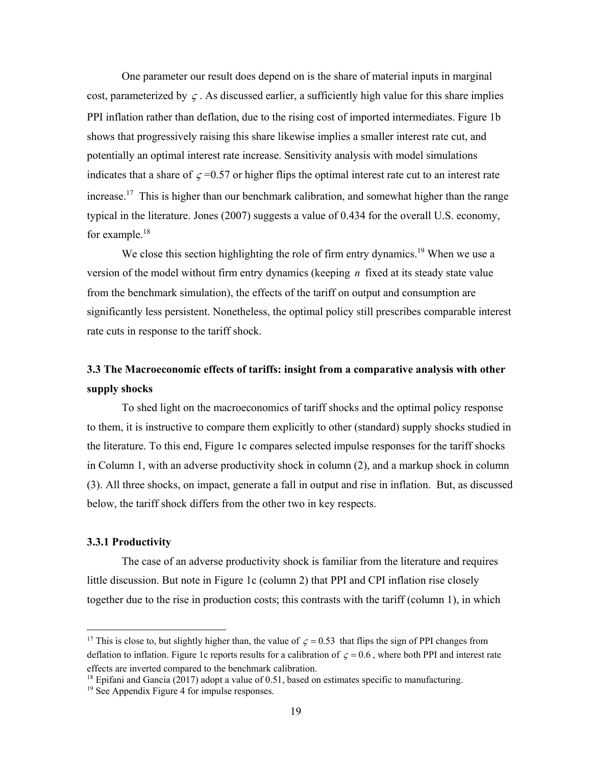One parameter our result does depend on is the share of material inputs in marginal cost, parameterized by  $\zeta$ . As discussed earlier, a sufficiently high value for this share implies PPI inflation rather than deflation, due to the rising cost of imported intermediates. Figure 1b shows that progressively raising this share likewise implies a smaller interest rate cut, and potentially an optimal interest rate increase. Sensitivity analysis with model simulations indicates that a share of  $\zeta = 0.57$  or higher flips the optimal interest rate cut to an interest rate increase.<sup>17</sup> This is higher than our benchmark calibration, and somewhat higher than the range typical in the literature. Jones (2007) suggests a value of 0.434 for the overall U.S. economy, for example.<sup>18</sup>

We close this section highlighting the role of firm entry dynamics.<sup>19</sup> When we use a version of the model without firm entry dynamics (keeping *n* fixed at its steady state value from the benchmark simulation), the effects of the tariff on output and consumption are significantly less persistent. Nonetheless, the optimal policy still prescribes comparable interest rate cuts in response to the tariff shock.

## **3.3 The Macroeconomic effects of tariffs: insight from a comparative analysis with other supply shocks**

To shed light on the macroeconomics of tariff shocks and the optimal policy response to them, it is instructive to compare them explicitly to other (standard) supply shocks studied in the literature. To this end, Figure 1c compares selected impulse responses for the tariff shocks in Column 1, with an adverse productivity shock in column (2), and a markup shock in column (3). All three shocks, on impact, generate a fall in output and rise in inflation. But, as discussed below, the tariff shock differs from the other two in key respects.

#### **3.3.1 Productivity**

 $\overline{a}$ 

The case of an adverse productivity shock is familiar from the literature and requires little discussion. But note in Figure 1c (column 2) that PPI and CPI inflation rise closely together due to the rise in production costs; this contrasts with the tariff (column 1), in which

<sup>&</sup>lt;sup>17</sup> This is close to, but slightly higher than, the value of  $\zeta = 0.53$  that flips the sign of PPI changes from deflation to inflation. Figure 1c reports results for a calibration of  $\zeta = 0.6$ , where both PPI and interest rate effects are inverted compared to the benchmark calibration.

<sup>&</sup>lt;sup>18</sup> Epifani and Gancia (2017) adopt a value of 0.51, based on estimates specific to manufacturing.

<sup>19</sup> See Appendix Figure 4 for impulse responses.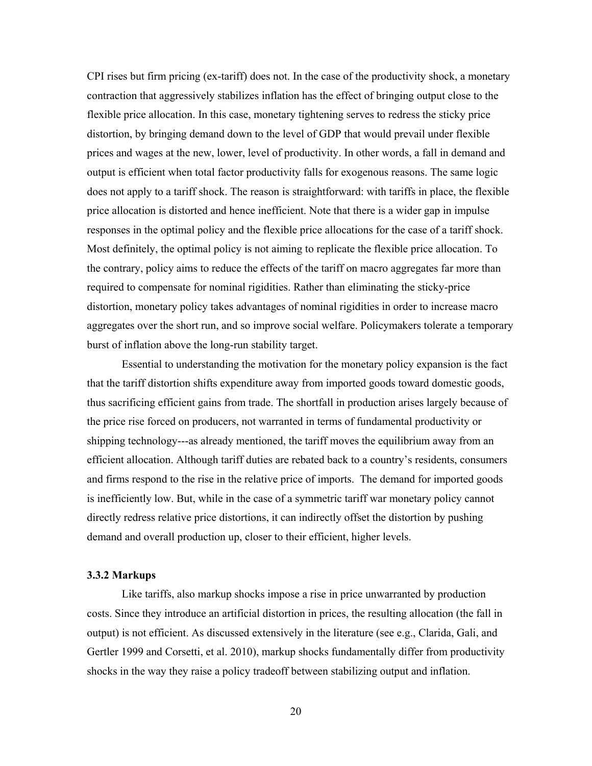CPI rises but firm pricing (ex-tariff) does not. In the case of the productivity shock, a monetary contraction that aggressively stabilizes inflation has the effect of bringing output close to the flexible price allocation. In this case, monetary tightening serves to redress the sticky price distortion, by bringing demand down to the level of GDP that would prevail under flexible prices and wages at the new, lower, level of productivity. In other words, a fall in demand and output is efficient when total factor productivity falls for exogenous reasons. The same logic does not apply to a tariff shock. The reason is straightforward: with tariffs in place, the flexible price allocation is distorted and hence inefficient. Note that there is a wider gap in impulse responses in the optimal policy and the flexible price allocations for the case of a tariff shock. Most definitely, the optimal policy is not aiming to replicate the flexible price allocation. To the contrary, policy aims to reduce the effects of the tariff on macro aggregates far more than required to compensate for nominal rigidities. Rather than eliminating the sticky-price distortion, monetary policy takes advantages of nominal rigidities in order to increase macro aggregates over the short run, and so improve social welfare. Policymakers tolerate a temporary burst of inflation above the long-run stability target.

Essential to understanding the motivation for the monetary policy expansion is the fact that the tariff distortion shifts expenditure away from imported goods toward domestic goods, thus sacrificing efficient gains from trade. The shortfall in production arises largely because of the price rise forced on producers, not warranted in terms of fundamental productivity or shipping technology---as already mentioned, the tariff moves the equilibrium away from an efficient allocation. Although tariff duties are rebated back to a country's residents, consumers and firms respond to the rise in the relative price of imports. The demand for imported goods is inefficiently low. But, while in the case of a symmetric tariff war monetary policy cannot directly redress relative price distortions, it can indirectly offset the distortion by pushing demand and overall production up, closer to their efficient, higher levels.

#### **3.3.2 Markups**

Like tariffs, also markup shocks impose a rise in price unwarranted by production costs. Since they introduce an artificial distortion in prices, the resulting allocation (the fall in output) is not efficient. As discussed extensively in the literature (see e.g., Clarida, Gali, and Gertler 1999 and Corsetti, et al. 2010), markup shocks fundamentally differ from productivity shocks in the way they raise a policy tradeoff between stabilizing output and inflation.

20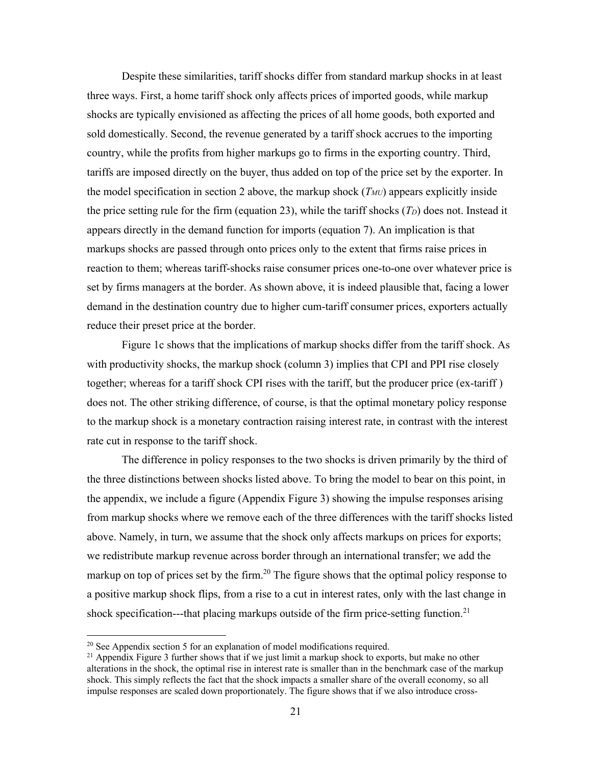Despite these similarities, tariff shocks differ from standard markup shocks in at least three ways. First, a home tariff shock only affects prices of imported goods, while markup shocks are typically envisioned as affecting the prices of all home goods, both exported and sold domestically. Second, the revenue generated by a tariff shock accrues to the importing country, while the profits from higher markups go to firms in the exporting country. Third, tariffs are imposed directly on the buyer, thus added on top of the price set by the exporter. In the model specification in section 2 above, the markup shock  $(T_{MU})$  appears explicitly inside the price setting rule for the firm (equation 23), while the tariff shocks  $(T_D)$  does not. Instead it appears directly in the demand function for imports (equation 7). An implication is that markups shocks are passed through onto prices only to the extent that firms raise prices in reaction to them; whereas tariff-shocks raise consumer prices one-to-one over whatever price is set by firms managers at the border. As shown above, it is indeed plausible that, facing a lower demand in the destination country due to higher cum-tariff consumer prices, exporters actually reduce their preset price at the border.

Figure 1c shows that the implications of markup shocks differ from the tariff shock. As with productivity shocks, the markup shock (column 3) implies that CPI and PPI rise closely together; whereas for a tariff shock CPI rises with the tariff, but the producer price (ex-tariff ) does not. The other striking difference, of course, is that the optimal monetary policy response to the markup shock is a monetary contraction raising interest rate, in contrast with the interest rate cut in response to the tariff shock.

The difference in policy responses to the two shocks is driven primarily by the third of the three distinctions between shocks listed above. To bring the model to bear on this point, in the appendix, we include a figure (Appendix Figure 3) showing the impulse responses arising from markup shocks where we remove each of the three differences with the tariff shocks listed above. Namely, in turn, we assume that the shock only affects markups on prices for exports; we redistribute markup revenue across border through an international transfer; we add the markup on top of prices set by the firm.<sup>20</sup> The figure shows that the optimal policy response to a positive markup shock flips, from a rise to a cut in interest rates, only with the last change in shock specification---that placing markups outside of the firm price-setting function.<sup>21</sup>

 $20$  See Appendix section 5 for an explanation of model modifications required.

<sup>&</sup>lt;sup>21</sup> Appendix Figure 3 further shows that if we just limit a markup shock to exports, but make no other alterations in the shock, the optimal rise in interest rate is smaller than in the benchmark case of the markup shock. This simply reflects the fact that the shock impacts a smaller share of the overall economy, so all impulse responses are scaled down proportionately. The figure shows that if we also introduce cross-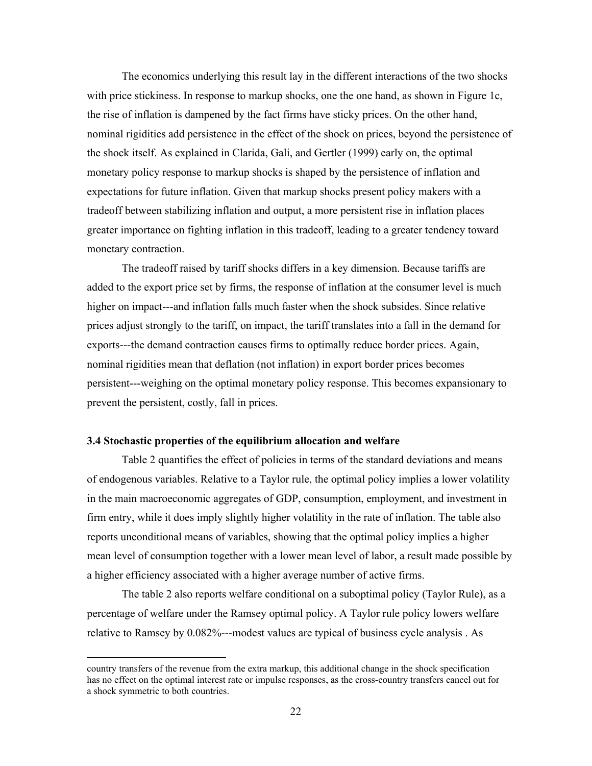The economics underlying this result lay in the different interactions of the two shocks with price stickiness. In response to markup shocks, one the one hand, as shown in Figure 1c, the rise of inflation is dampened by the fact firms have sticky prices. On the other hand, nominal rigidities add persistence in the effect of the shock on prices, beyond the persistence of the shock itself. As explained in Clarida, Gali, and Gertler (1999) early on, the optimal monetary policy response to markup shocks is shaped by the persistence of inflation and expectations for future inflation. Given that markup shocks present policy makers with a tradeoff between stabilizing inflation and output, a more persistent rise in inflation places greater importance on fighting inflation in this tradeoff, leading to a greater tendency toward monetary contraction.

The tradeoff raised by tariff shocks differs in a key dimension. Because tariffs are added to the export price set by firms, the response of inflation at the consumer level is much higher on impact---and inflation falls much faster when the shock subsides. Since relative prices adjust strongly to the tariff, on impact, the tariff translates into a fall in the demand for exports---the demand contraction causes firms to optimally reduce border prices. Again, nominal rigidities mean that deflation (not inflation) in export border prices becomes persistent---weighing on the optimal monetary policy response. This becomes expansionary to prevent the persistent, costly, fall in prices.

#### **3.4 Stochastic properties of the equilibrium allocation and welfare**

 $\overline{a}$ 

Table 2 quantifies the effect of policies in terms of the standard deviations and means of endogenous variables. Relative to a Taylor rule, the optimal policy implies a lower volatility in the main macroeconomic aggregates of GDP, consumption, employment, and investment in firm entry, while it does imply slightly higher volatility in the rate of inflation. The table also reports unconditional means of variables, showing that the optimal policy implies a higher mean level of consumption together with a lower mean level of labor, a result made possible by a higher efficiency associated with a higher average number of active firms.

The table 2 also reports welfare conditional on a suboptimal policy (Taylor Rule), as a percentage of welfare under the Ramsey optimal policy. A Taylor rule policy lowers welfare relative to Ramsey by 0.082%---modest values are typical of business cycle analysis . As

country transfers of the revenue from the extra markup, this additional change in the shock specification has no effect on the optimal interest rate or impulse responses, as the cross-country transfers cancel out for a shock symmetric to both countries.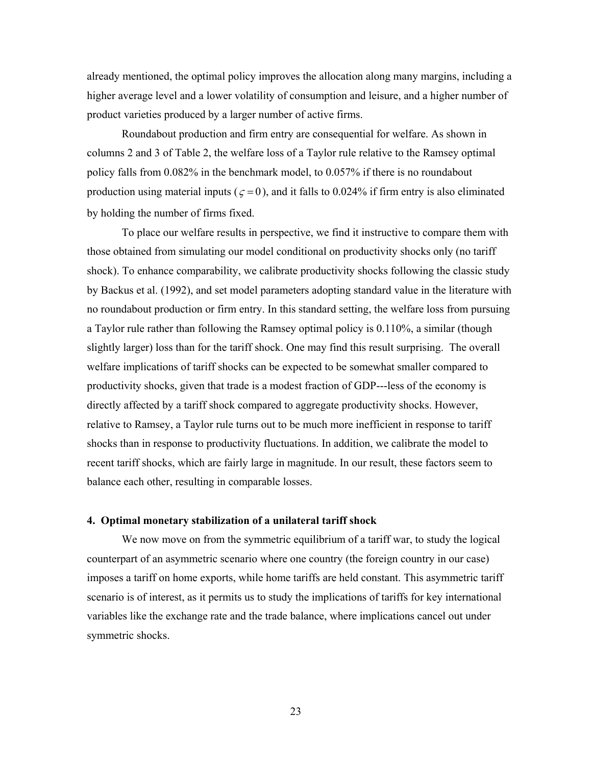already mentioned, the optimal policy improves the allocation along many margins, including a higher average level and a lower volatility of consumption and leisure, and a higher number of product varieties produced by a larger number of active firms.

Roundabout production and firm entry are consequential for welfare. As shown in columns 2 and 3 of Table 2, the welfare loss of a Taylor rule relative to the Ramsey optimal policy falls from 0.082% in the benchmark model, to 0.057% if there is no roundabout production using material inputs ( $\zeta = 0$ ), and it falls to 0.024% if firm entry is also eliminated by holding the number of firms fixed.

To place our welfare results in perspective, we find it instructive to compare them with those obtained from simulating our model conditional on productivity shocks only (no tariff shock). To enhance comparability, we calibrate productivity shocks following the classic study by Backus et al. (1992), and set model parameters adopting standard value in the literature with no roundabout production or firm entry. In this standard setting, the welfare loss from pursuing a Taylor rule rather than following the Ramsey optimal policy is 0.110%, a similar (though slightly larger) loss than for the tariff shock. One may find this result surprising. The overall welfare implications of tariff shocks can be expected to be somewhat smaller compared to productivity shocks, given that trade is a modest fraction of GDP---less of the economy is directly affected by a tariff shock compared to aggregate productivity shocks. However, relative to Ramsey, a Taylor rule turns out to be much more inefficient in response to tariff shocks than in response to productivity fluctuations. In addition, we calibrate the model to recent tariff shocks, which are fairly large in magnitude. In our result, these factors seem to balance each other, resulting in comparable losses.

#### **4. Optimal monetary stabilization of a unilateral tariff shock**

We now move on from the symmetric equilibrium of a tariff war, to study the logical counterpart of an asymmetric scenario where one country (the foreign country in our case) imposes a tariff on home exports, while home tariffs are held constant. This asymmetric tariff scenario is of interest, as it permits us to study the implications of tariffs for key international variables like the exchange rate and the trade balance, where implications cancel out under symmetric shocks.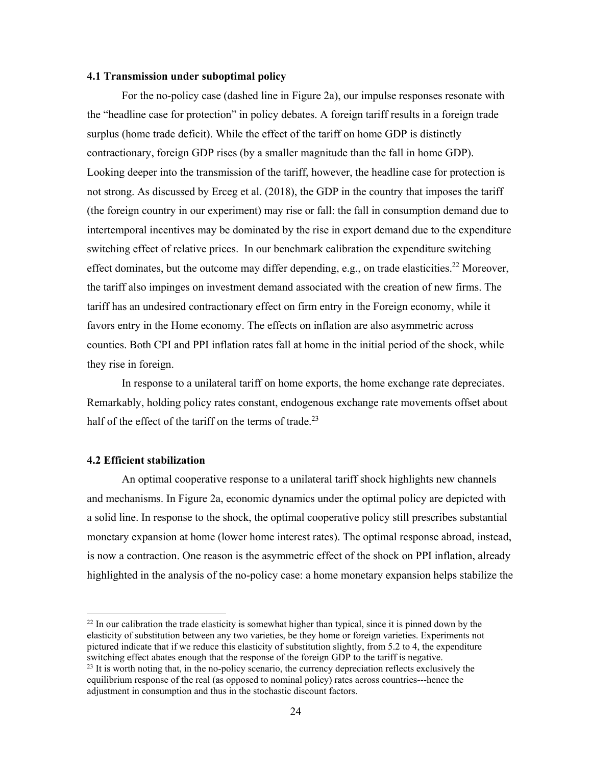#### **4.1 Transmission under suboptimal policy**

For the no-policy case (dashed line in Figure 2a), our impulse responses resonate with the "headline case for protection" in policy debates. A foreign tariff results in a foreign trade surplus (home trade deficit). While the effect of the tariff on home GDP is distinctly contractionary, foreign GDP rises (by a smaller magnitude than the fall in home GDP). Looking deeper into the transmission of the tariff, however, the headline case for protection is not strong. As discussed by Erceg et al. (2018), the GDP in the country that imposes the tariff (the foreign country in our experiment) may rise or fall: the fall in consumption demand due to intertemporal incentives may be dominated by the rise in export demand due to the expenditure switching effect of relative prices. In our benchmark calibration the expenditure switching effect dominates, but the outcome may differ depending, e.g., on trade elasticities.<sup>22</sup> Moreover, the tariff also impinges on investment demand associated with the creation of new firms. The tariff has an undesired contractionary effect on firm entry in the Foreign economy, while it favors entry in the Home economy. The effects on inflation are also asymmetric across counties. Both CPI and PPI inflation rates fall at home in the initial period of the shock, while they rise in foreign.

In response to a unilateral tariff on home exports, the home exchange rate depreciates. Remarkably, holding policy rates constant, endogenous exchange rate movements offset about half of the effect of the tariff on the terms of trade.<sup>23</sup>

#### **4.2 Efficient stabilization**

 $\overline{a}$ 

An optimal cooperative response to a unilateral tariff shock highlights new channels and mechanisms. In Figure 2a, economic dynamics under the optimal policy are depicted with a solid line. In response to the shock, the optimal cooperative policy still prescribes substantial monetary expansion at home (lower home interest rates). The optimal response abroad, instead, is now a contraction. One reason is the asymmetric effect of the shock on PPI inflation, already highlighted in the analysis of the no-policy case: a home monetary expansion helps stabilize the

 $^{22}$  In our calibration the trade elasticity is somewhat higher than typical, since it is pinned down by the elasticity of substitution between any two varieties, be they home or foreign varieties. Experiments not pictured indicate that if we reduce this elasticity of substitution slightly, from 5.2 to 4, the expenditure switching effect abates enough that the response of the foreign GDP to the tariff is negative.

 $^{23}$  It is worth noting that, in the no-policy scenario, the currency depreciation reflects exclusively the equilibrium response of the real (as opposed to nominal policy) rates across countries---hence the adjustment in consumption and thus in the stochastic discount factors.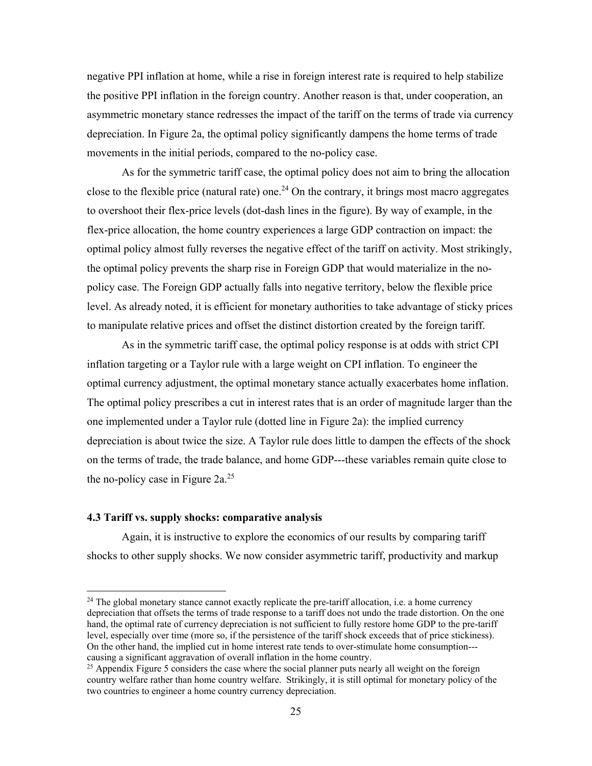negative PPI inflation at home, while a rise in foreign interest rate is required to help stabilize the positive PPI inflation in the foreign country. Another reason is that, under cooperation, an asymmetric monetary stance redresses the impact of the tariff on the terms of trade via currency depreciation. In Figure 2a, the optimal policy significantly dampens the home terms of trade movements in the initial periods, compared to the no-policy case.

As for the symmetric tariff case, the optimal policy does not aim to bring the allocation close to the flexible price (natural rate) one.<sup>24</sup> On the contrary, it brings most macro aggregates to overshoot their flex-price levels (dot-dash lines in the figure). By way of example, in the flex-price allocation, the home country experiences a large GDP contraction on impact: the optimal policy almost fully reverses the negative effect of the tariff on activity. Most strikingly, the optimal policy prevents the sharp rise in Foreign GDP that would materialize in the nopolicy case. The Foreign GDP actually falls into negative territory, below the flexible price level. As already noted, it is efficient for monetary authorities to take advantage of sticky prices to manipulate relative prices and offset the distinct distortion created by the foreign tariff.

As in the symmetric tariff case, the optimal policy response is at odds with strict CPI inflation targeting or a Taylor rule with a large weight on CPI inflation. To engineer the optimal currency adjustment, the optimal monetary stance actually exacerbates home inflation. The optimal policy prescribes a cut in interest rates that is an order of magnitude larger than the one implemented under a Taylor rule (dotted line in Figure 2a): the implied currency depreciation is about twice the size. A Taylor rule does little to dampen the effects of the shock on the terms of trade, the trade balance, and home GDP---these variables remain quite close to the no-policy case in Figure  $2a^{25}$ 

#### **4.3 Tariff vs. supply shocks: comparative analysis**

 $\overline{a}$ 

Again, it is instructive to explore the economics of our results by comparing tariff shocks to other supply shocks. We now consider asymmetric tariff, productivity and markup

 $24$  The global monetary stance cannot exactly replicate the pre-tariff allocation, i.e. a home currency depreciation that offsets the terms of trade response to a tariff does not undo the trade distortion. On the one hand, the optimal rate of currency depreciation is not sufficient to fully restore home GDP to the pre-tariff level, especially over time (more so, if the persistence of the tariff shock exceeds that of price stickiness). On the other hand, the implied cut in home interest rate tends to over-stimulate home consumption-- causing a significant aggravation of overall inflation in the home country.<br><sup>25</sup> Appendix Figure 5 considers the case where the social planner puts nearly all weight on the foreign

country welfare rather than home country welfare. Strikingly, it is still optimal for monetary policy of the two countries to engineer a home country currency depreciation.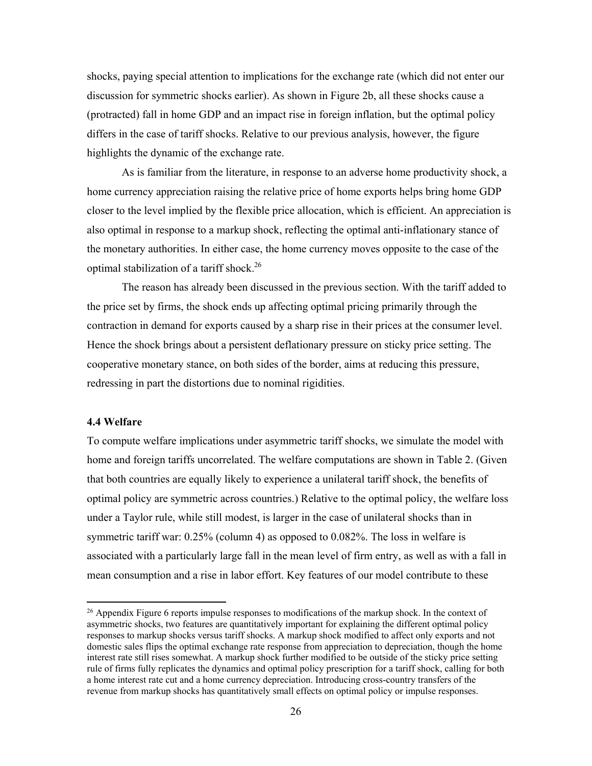shocks, paying special attention to implications for the exchange rate (which did not enter our discussion for symmetric shocks earlier). As shown in Figure 2b, all these shocks cause a (protracted) fall in home GDP and an impact rise in foreign inflation, but the optimal policy differs in the case of tariff shocks. Relative to our previous analysis, however, the figure highlights the dynamic of the exchange rate.

As is familiar from the literature, in response to an adverse home productivity shock, a home currency appreciation raising the relative price of home exports helps bring home GDP closer to the level implied by the flexible price allocation, which is efficient. An appreciation is also optimal in response to a markup shock, reflecting the optimal anti-inflationary stance of the monetary authorities. In either case, the home currency moves opposite to the case of the optimal stabilization of a tariff shock.26

The reason has already been discussed in the previous section. With the tariff added to the price set by firms, the shock ends up affecting optimal pricing primarily through the contraction in demand for exports caused by a sharp rise in their prices at the consumer level. Hence the shock brings about a persistent deflationary pressure on sticky price setting. The cooperative monetary stance, on both sides of the border, aims at reducing this pressure, redressing in part the distortions due to nominal rigidities.

#### **4.4 Welfare**

 $\overline{a}$ 

To compute welfare implications under asymmetric tariff shocks, we simulate the model with home and foreign tariffs uncorrelated. The welfare computations are shown in Table 2. (Given that both countries are equally likely to experience a unilateral tariff shock, the benefits of optimal policy are symmetric across countries.) Relative to the optimal policy, the welfare loss under a Taylor rule, while still modest, is larger in the case of unilateral shocks than in symmetric tariff war: 0.25% (column 4) as opposed to 0.082%. The loss in welfare is associated with a particularly large fall in the mean level of firm entry, as well as with a fall in mean consumption and a rise in labor effort. Key features of our model contribute to these

 $^{26}$  Appendix Figure 6 reports impulse responses to modifications of the markup shock. In the context of asymmetric shocks, two features are quantitatively important for explaining the different optimal policy responses to markup shocks versus tariff shocks. A markup shock modified to affect only exports and not domestic sales flips the optimal exchange rate response from appreciation to depreciation, though the home interest rate still rises somewhat. A markup shock further modified to be outside of the sticky price setting rule of firms fully replicates the dynamics and optimal policy prescription for a tariff shock, calling for both a home interest rate cut and a home currency depreciation. Introducing cross-country transfers of the revenue from markup shocks has quantitatively small effects on optimal policy or impulse responses.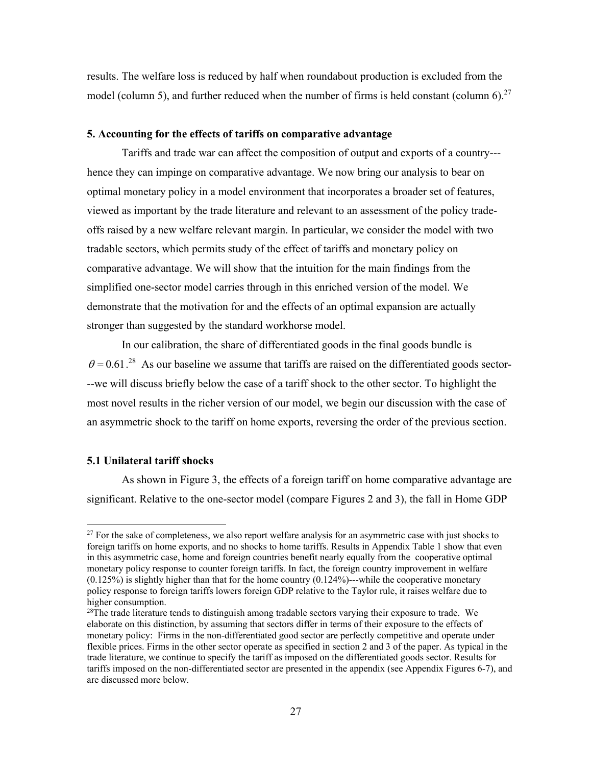results. The welfare loss is reduced by half when roundabout production is excluded from the model (column 5), and further reduced when the number of firms is held constant (column 6).<sup>27</sup>

#### **5. Accounting for the effects of tariffs on comparative advantage**

 Tariffs and trade war can affect the composition of output and exports of a country-- hence they can impinge on comparative advantage. We now bring our analysis to bear on optimal monetary policy in a model environment that incorporates a broader set of features, viewed as important by the trade literature and relevant to an assessment of the policy tradeoffs raised by a new welfare relevant margin. In particular, we consider the model with two tradable sectors, which permits study of the effect of tariffs and monetary policy on comparative advantage. We will show that the intuition for the main findings from the simplified one-sector model carries through in this enriched version of the model. We demonstrate that the motivation for and the effects of an optimal expansion are actually stronger than suggested by the standard workhorse model.

In our calibration, the share of differentiated goods in the final goods bundle is  $\theta$  = 0.61.<sup>28</sup> As our baseline we assume that tariffs are raised on the differentiated goods sector---we will discuss briefly below the case of a tariff shock to the other sector. To highlight the most novel results in the richer version of our model, we begin our discussion with the case of an asymmetric shock to the tariff on home exports, reversing the order of the previous section.

#### **5.1 Unilateral tariff shocks**

 $\overline{a}$ 

As shown in Figure 3, the effects of a foreign tariff on home comparative advantage are significant. Relative to the one-sector model (compare Figures 2 and 3), the fall in Home GDP

 $27$  For the sake of completeness, we also report welfare analysis for an asymmetric case with just shocks to foreign tariffs on home exports, and no shocks to home tariffs. Results in Appendix Table 1 show that even in this asymmetric case, home and foreign countries benefit nearly equally from the cooperative optimal monetary policy response to counter foreign tariffs. In fact, the foreign country improvement in welfare  $(0.125%)$  is slightly higher than that for the home country  $(0.124%)$ --while the cooperative monetary policy response to foreign tariffs lowers foreign GDP relative to the Taylor rule, it raises welfare due to higher consumption.

 $^{28}$ The trade literature tends to distinguish among tradable sectors varying their exposure to trade. We elaborate on this distinction, by assuming that sectors differ in terms of their exposure to the effects of monetary policy: Firms in the non-differentiated good sector are perfectly competitive and operate under flexible prices. Firms in the other sector operate as specified in section 2 and 3 of the paper. As typical in the trade literature, we continue to specify the tariff as imposed on the differentiated goods sector. Results for tariffs imposed on the non-differentiated sector are presented in the appendix (see Appendix Figures 6-7), and are discussed more below.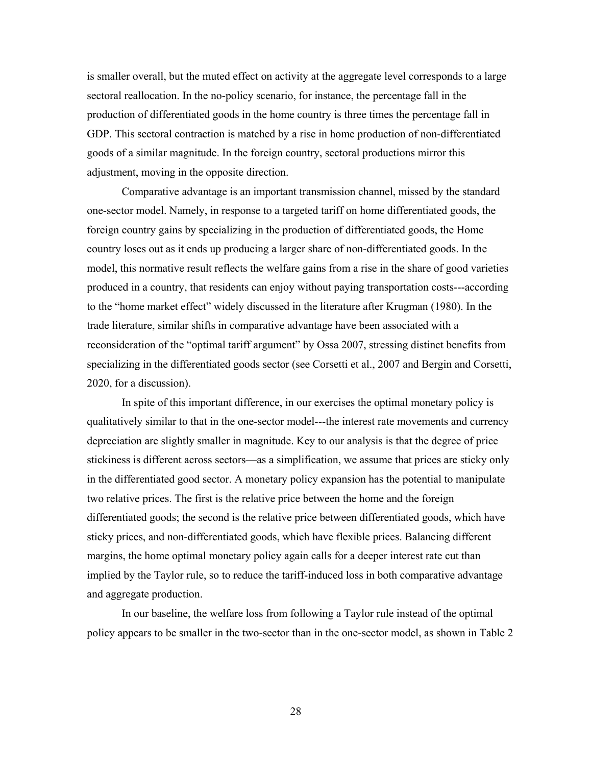is smaller overall, but the muted effect on activity at the aggregate level corresponds to a large sectoral reallocation. In the no-policy scenario, for instance, the percentage fall in the production of differentiated goods in the home country is three times the percentage fall in GDP. This sectoral contraction is matched by a rise in home production of non-differentiated goods of a similar magnitude. In the foreign country, sectoral productions mirror this adjustment, moving in the opposite direction.

Comparative advantage is an important transmission channel, missed by the standard one-sector model. Namely, in response to a targeted tariff on home differentiated goods, the foreign country gains by specializing in the production of differentiated goods, the Home country loses out as it ends up producing a larger share of non-differentiated goods. In the model, this normative result reflects the welfare gains from a rise in the share of good varieties produced in a country, that residents can enjoy without paying transportation costs---according to the "home market effect" widely discussed in the literature after Krugman (1980). In the trade literature, similar shifts in comparative advantage have been associated with a reconsideration of the "optimal tariff argument" by Ossa 2007, stressing distinct benefits from specializing in the differentiated goods sector (see Corsetti et al., 2007 and Bergin and Corsetti, 2020, for a discussion).

 In spite of this important difference, in our exercises the optimal monetary policy is qualitatively similar to that in the one-sector model---the interest rate movements and currency depreciation are slightly smaller in magnitude. Key to our analysis is that the degree of price stickiness is different across sectors—as a simplification, we assume that prices are sticky only in the differentiated good sector. A monetary policy expansion has the potential to manipulate two relative prices. The first is the relative price between the home and the foreign differentiated goods; the second is the relative price between differentiated goods, which have sticky prices, and non-differentiated goods, which have flexible prices. Balancing different margins, the home optimal monetary policy again calls for a deeper interest rate cut than implied by the Taylor rule, so to reduce the tariff-induced loss in both comparative advantage and aggregate production.

 In our baseline, the welfare loss from following a Taylor rule instead of the optimal policy appears to be smaller in the two-sector than in the one-sector model, as shown in Table 2

28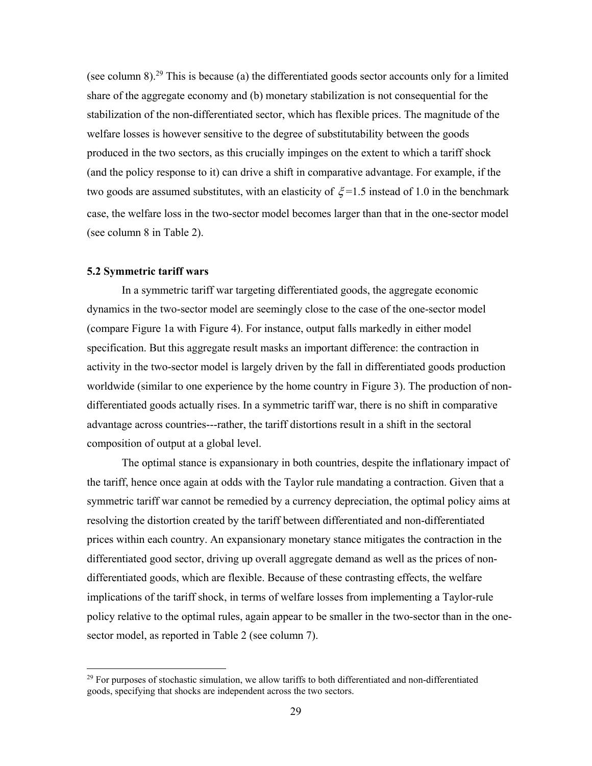(see column 8).<sup>29</sup> This is because (a) the differentiated goods sector accounts only for a limited share of the aggregate economy and (b) monetary stabilization is not consequential for the stabilization of the non-differentiated sector, which has flexible prices. The magnitude of the welfare losses is however sensitive to the degree of substitutability between the goods produced in the two sectors, as this crucially impinges on the extent to which a tariff shock (and the policy response to it) can drive a shift in comparative advantage. For example, if the two goods are assumed substitutes, with an elasticity of  $\xi$ =1.5 instead of 1.0 in the benchmark case, the welfare loss in the two-sector model becomes larger than that in the one-sector model (see column 8 in Table 2).

#### **5.2 Symmetric tariff wars**

 $\overline{a}$ 

 In a symmetric tariff war targeting differentiated goods, the aggregate economic dynamics in the two-sector model are seemingly close to the case of the one-sector model (compare Figure 1a with Figure 4). For instance, output falls markedly in either model specification. But this aggregate result masks an important difference: the contraction in activity in the two-sector model is largely driven by the fall in differentiated goods production worldwide (similar to one experience by the home country in Figure 3). The production of nondifferentiated goods actually rises. In a symmetric tariff war, there is no shift in comparative advantage across countries---rather, the tariff distortions result in a shift in the sectoral composition of output at a global level.

The optimal stance is expansionary in both countries, despite the inflationary impact of the tariff, hence once again at odds with the Taylor rule mandating a contraction. Given that a symmetric tariff war cannot be remedied by a currency depreciation, the optimal policy aims at resolving the distortion created by the tariff between differentiated and non-differentiated prices within each country. An expansionary monetary stance mitigates the contraction in the differentiated good sector, driving up overall aggregate demand as well as the prices of nondifferentiated goods, which are flexible. Because of these contrasting effects, the welfare implications of the tariff shock, in terms of welfare losses from implementing a Taylor-rule policy relative to the optimal rules, again appear to be smaller in the two-sector than in the onesector model, as reported in Table 2 (see column 7).

 $29$  For purposes of stochastic simulation, we allow tariffs to both differentiated and non-differentiated goods, specifying that shocks are independent across the two sectors.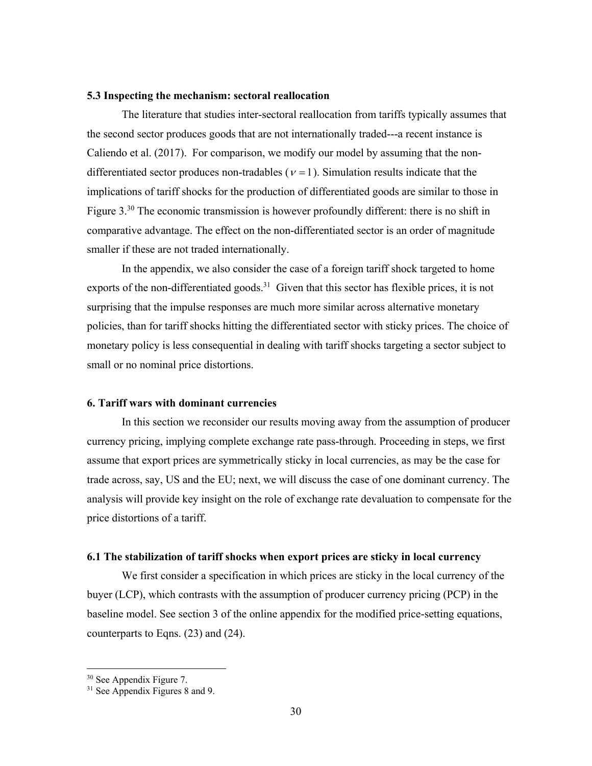#### **5.3 Inspecting the mechanism: sectoral reallocation**

The literature that studies inter-sectoral reallocation from tariffs typically assumes that the second sector produces goods that are not internationally traded---a recent instance is Caliendo et al. (2017). For comparison, we modify our model by assuming that the nondifferentiated sector produces non-tradables ( $v = 1$ ). Simulation results indicate that the implications of tariff shocks for the production of differentiated goods are similar to those in Figure  $3^{30}$  The economic transmission is however profoundly different: there is no shift in comparative advantage. The effect on the non-differentiated sector is an order of magnitude smaller if these are not traded internationally.

In the appendix, we also consider the case of a foreign tariff shock targeted to home exports of the non-differentiated goods.<sup>31</sup> Given that this sector has flexible prices, it is not surprising that the impulse responses are much more similar across alternative monetary policies, than for tariff shocks hitting the differentiated sector with sticky prices. The choice of monetary policy is less consequential in dealing with tariff shocks targeting a sector subject to small or no nominal price distortions.

#### **6. Tariff wars with dominant currencies**

In this section we reconsider our results moving away from the assumption of producer currency pricing, implying complete exchange rate pass-through. Proceeding in steps, we first assume that export prices are symmetrically sticky in local currencies, as may be the case for trade across, say, US and the EU; next, we will discuss the case of one dominant currency. The analysis will provide key insight on the role of exchange rate devaluation to compensate for the price distortions of a tariff.

#### **6.1 The stabilization of tariff shocks when export prices are sticky in local currency**

We first consider a specification in which prices are sticky in the local currency of the buyer (LCP), which contrasts with the assumption of producer currency pricing (PCP) in the baseline model. See section 3 of the online appendix for the modified price-setting equations, counterparts to Eqns. (23) and (24).

<sup>&</sup>lt;sup>30</sup> See Appendix Figure 7.

<sup>&</sup>lt;sup>31</sup> See Appendix Figures 8 and 9.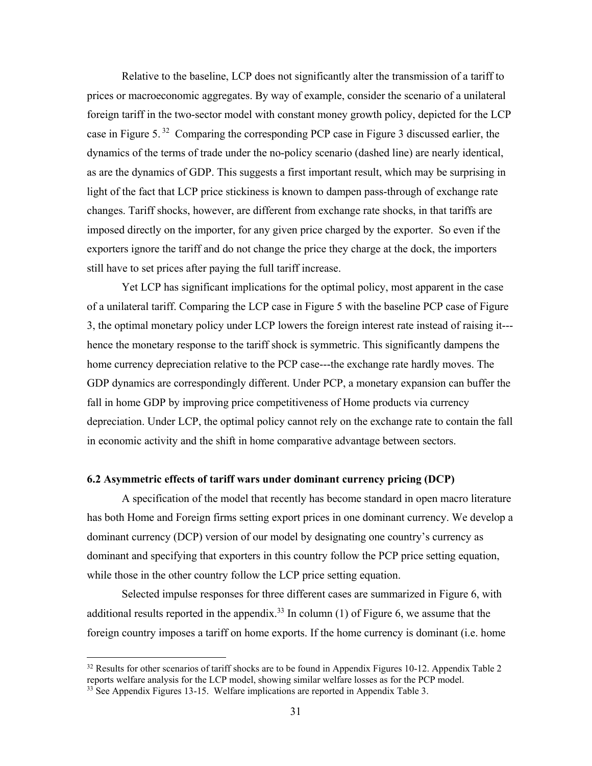Relative to the baseline, LCP does not significantly alter the transmission of a tariff to prices or macroeconomic aggregates. By way of example, consider the scenario of a unilateral foreign tariff in the two-sector model with constant money growth policy, depicted for the LCP case in Figure 5. 32 Comparing the corresponding PCP case in Figure 3 discussed earlier, the dynamics of the terms of trade under the no-policy scenario (dashed line) are nearly identical, as are the dynamics of GDP. This suggests a first important result, which may be surprising in light of the fact that LCP price stickiness is known to dampen pass-through of exchange rate changes. Tariff shocks, however, are different from exchange rate shocks, in that tariffs are imposed directly on the importer, for any given price charged by the exporter. So even if the exporters ignore the tariff and do not change the price they charge at the dock, the importers still have to set prices after paying the full tariff increase.

Yet LCP has significant implications for the optimal policy, most apparent in the case of a unilateral tariff. Comparing the LCP case in Figure 5 with the baseline PCP case of Figure 3, the optimal monetary policy under LCP lowers the foreign interest rate instead of raising it-- hence the monetary response to the tariff shock is symmetric. This significantly dampens the home currency depreciation relative to the PCP case---the exchange rate hardly moves. The GDP dynamics are correspondingly different. Under PCP, a monetary expansion can buffer the fall in home GDP by improving price competitiveness of Home products via currency depreciation. Under LCP, the optimal policy cannot rely on the exchange rate to contain the fall in economic activity and the shift in home comparative advantage between sectors.

#### **6.2 Asymmetric effects of tariff wars under dominant currency pricing (DCP)**

A specification of the model that recently has become standard in open macro literature has both Home and Foreign firms setting export prices in one dominant currency. We develop a dominant currency (DCP) version of our model by designating one country's currency as dominant and specifying that exporters in this country follow the PCP price setting equation, while those in the other country follow the LCP price setting equation.

Selected impulse responses for three different cases are summarized in Figure 6, with additional results reported in the appendix.<sup>33</sup> In column (1) of Figure 6, we assume that the foreign country imposes a tariff on home exports. If the home currency is dominant (i.e. home

 $32$  Results for other scenarios of tariff shocks are to be found in Appendix Figures 10-12. Appendix Table 2 reports welfare analysis for the LCP model, showing similar welfare losses as for the PCP model.<br><sup>33</sup> See Appendix Figures 13-15. Welfare implications are reported in Appendix Table 3.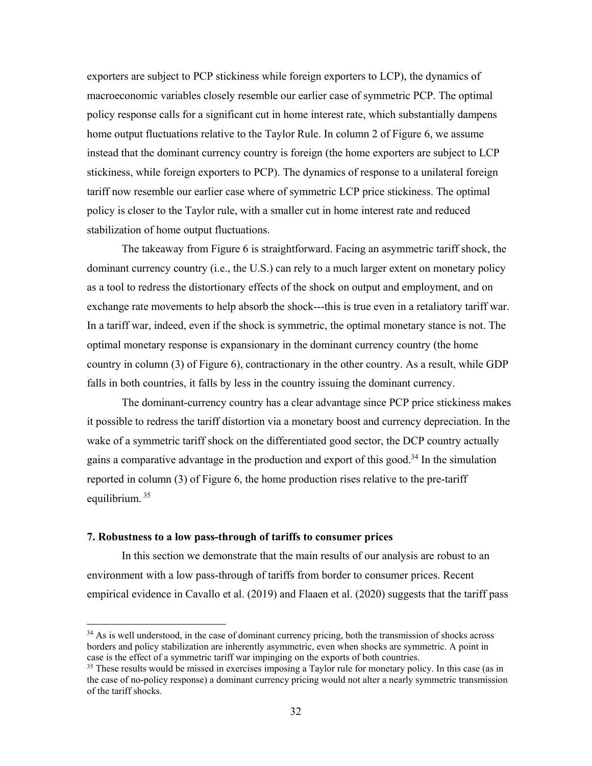exporters are subject to PCP stickiness while foreign exporters to LCP), the dynamics of macroeconomic variables closely resemble our earlier case of symmetric PCP. The optimal policy response calls for a significant cut in home interest rate, which substantially dampens home output fluctuations relative to the Taylor Rule. In column 2 of Figure 6, we assume instead that the dominant currency country is foreign (the home exporters are subject to LCP stickiness, while foreign exporters to PCP). The dynamics of response to a unilateral foreign tariff now resemble our earlier case where of symmetric LCP price stickiness. The optimal policy is closer to the Taylor rule, with a smaller cut in home interest rate and reduced stabilization of home output fluctuations.

The takeaway from Figure 6 is straightforward. Facing an asymmetric tariff shock, the dominant currency country (i.e., the U.S.) can rely to a much larger extent on monetary policy as a tool to redress the distortionary effects of the shock on output and employment, and on exchange rate movements to help absorb the shock---this is true even in a retaliatory tariff war. In a tariff war, indeed, even if the shock is symmetric, the optimal monetary stance is not. The optimal monetary response is expansionary in the dominant currency country (the home country in column (3) of Figure 6), contractionary in the other country. As a result, while GDP falls in both countries, it falls by less in the country issuing the dominant currency.

The dominant-currency country has a clear advantage since PCP price stickiness makes it possible to redress the tariff distortion via a monetary boost and currency depreciation. In the wake of a symmetric tariff shock on the differentiated good sector, the DCP country actually gains a comparative advantage in the production and export of this good.<sup>34</sup> In the simulation reported in column (3) of Figure 6, the home production rises relative to the pre-tariff equilibrium.<sup>35</sup>

#### **7. Robustness to a low pass-through of tariffs to consumer prices**

 $\overline{a}$ 

In this section we demonstrate that the main results of our analysis are robust to an environment with a low pass-through of tariffs from border to consumer prices. Recent empirical evidence in Cavallo et al. (2019) and Flaaen et al. (2020) suggests that the tariff pass

 $34$  As is well understood, in the case of dominant currency pricing, both the transmission of shocks across borders and policy stabilization are inherently asymmetric, even when shocks are symmetric. A point in case is the effect of a symmetric tariff war impinging on the exports of both countries.<br><sup>35</sup> These results would be missed in exercises imposing a Taylor rule for monetary policy. In this case (as in

the case of no-policy response) a dominant currency pricing would not alter a nearly symmetric transmission of the tariff shocks.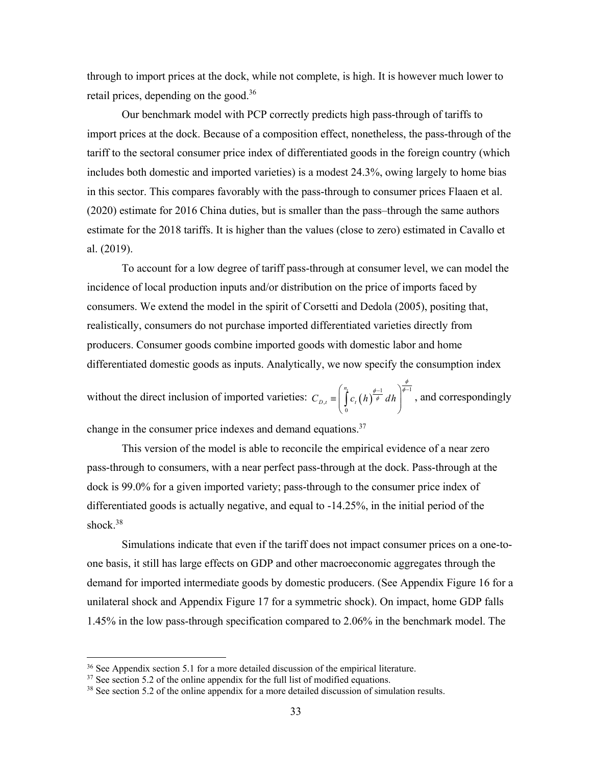through to import prices at the dock, while not complete, is high. It is however much lower to retail prices, depending on the good.<sup>36</sup>

Our benchmark model with PCP correctly predicts high pass-through of tariffs to import prices at the dock. Because of a composition effect, nonetheless, the pass-through of the tariff to the sectoral consumer price index of differentiated goods in the foreign country (which includes both domestic and imported varieties) is a modest 24.3%, owing largely to home bias in this sector. This compares favorably with the pass-through to consumer prices Flaaen et al. (2020) estimate for 2016 China duties, but is smaller than the pass–through the same authors estimate for the 2018 tariffs. It is higher than the values (close to zero) estimated in Cavallo et al. (2019).

To account for a low degree of tariff pass-through at consumer level, we can model the incidence of local production inputs and/or distribution on the price of imports faced by consumers. We extend the model in the spirit of Corsetti and Dedola (2005), positing that, realistically, consumers do not purchase imported differentiated varieties directly from producers. Consumer goods combine imported goods with domestic labor and home differentiated domestic goods as inputs. Analytically, we now specify the consumption index

without the direct inclusion of imported varieties:  $C_{D,t} = \int_{0}^{\pi} \left( c_t (h) \frac{\phi^{-1}}{\phi} dh \right)^{\phi^{-1}}$  $\mathbf{0}$ *t n*  $C_{D,t} \equiv \int c_t(h) \overline{\phi} dh$  $\phi$  $\phi - 1$   $\phi$  $\int_{c}^{\eta_t}$   $\left( h \right)^{\frac{\phi-1}{\phi}} dh$  $=\left(\int_{0}^{R} c_{i}(h)^{\frac{\gamma-1}{\phi}} dh\right)^{\gamma}$ , and correspondingly

change in the consumer price indexes and demand equations.<sup>37</sup>

 This version of the model is able to reconcile the empirical evidence of a near zero pass-through to consumers, with a near perfect pass-through at the dock. Pass-through at the dock is 99.0% for a given imported variety; pass-through to the consumer price index of differentiated goods is actually negative, and equal to -14.25%, in the initial period of the shock.<sup>38</sup>

 Simulations indicate that even if the tariff does not impact consumer prices on a one-toone basis, it still has large effects on GDP and other macroeconomic aggregates through the demand for imported intermediate goods by domestic producers. (See Appendix Figure 16 for a unilateral shock and Appendix Figure 17 for a symmetric shock). On impact, home GDP falls 1.45% in the low pass-through specification compared to 2.06% in the benchmark model. The

<sup>&</sup>lt;sup>36</sup> See Appendix section 5.1 for a more detailed discussion of the empirical literature.

 $37$  See section 5.2 of the online appendix for the full list of modified equations.

<sup>&</sup>lt;sup>38</sup> See section 5.2 of the online appendix for a more detailed discussion of simulation results.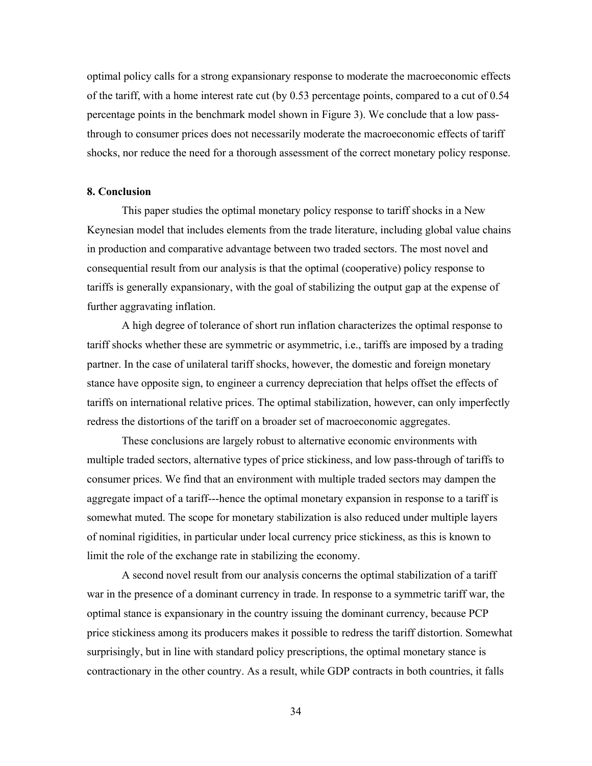optimal policy calls for a strong expansionary response to moderate the macroeconomic effects of the tariff, with a home interest rate cut (by 0.53 percentage points, compared to a cut of 0.54 percentage points in the benchmark model shown in Figure 3). We conclude that a low passthrough to consumer prices does not necessarily moderate the macroeconomic effects of tariff shocks, nor reduce the need for a thorough assessment of the correct monetary policy response.

#### **8. Conclusion**

This paper studies the optimal monetary policy response to tariff shocks in a New Keynesian model that includes elements from the trade literature, including global value chains in production and comparative advantage between two traded sectors. The most novel and consequential result from our analysis is that the optimal (cooperative) policy response to tariffs is generally expansionary, with the goal of stabilizing the output gap at the expense of further aggravating inflation.

A high degree of tolerance of short run inflation characterizes the optimal response to tariff shocks whether these are symmetric or asymmetric, i.e., tariffs are imposed by a trading partner. In the case of unilateral tariff shocks, however, the domestic and foreign monetary stance have opposite sign, to engineer a currency depreciation that helps offset the effects of tariffs on international relative prices. The optimal stabilization, however, can only imperfectly redress the distortions of the tariff on a broader set of macroeconomic aggregates.

 These conclusions are largely robust to alternative economic environments with multiple traded sectors, alternative types of price stickiness, and low pass-through of tariffs to consumer prices. We find that an environment with multiple traded sectors may dampen the aggregate impact of a tariff---hence the optimal monetary expansion in response to a tariff is somewhat muted. The scope for monetary stabilization is also reduced under multiple layers of nominal rigidities, in particular under local currency price stickiness, as this is known to limit the role of the exchange rate in stabilizing the economy.

A second novel result from our analysis concerns the optimal stabilization of a tariff war in the presence of a dominant currency in trade. In response to a symmetric tariff war, the optimal stance is expansionary in the country issuing the dominant currency, because PCP price stickiness among its producers makes it possible to redress the tariff distortion. Somewhat surprisingly, but in line with standard policy prescriptions, the optimal monetary stance is contractionary in the other country. As a result, while GDP contracts in both countries, it falls

34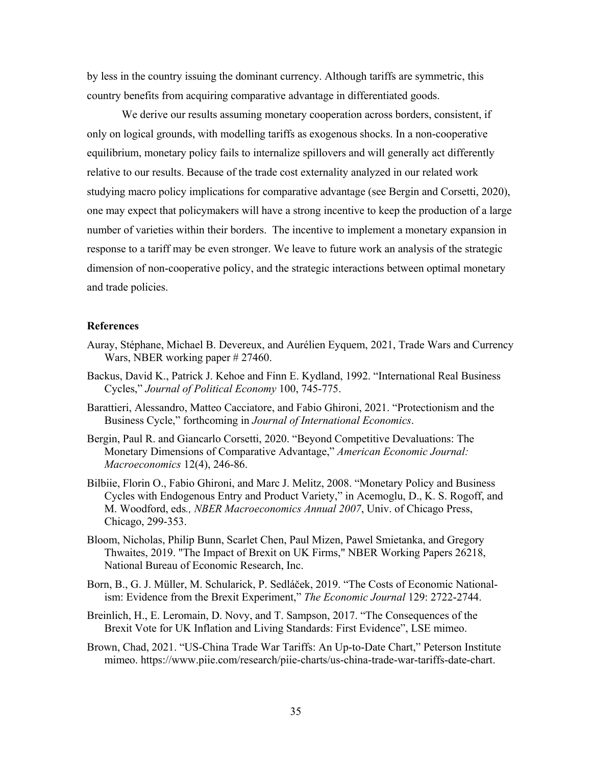by less in the country issuing the dominant currency. Although tariffs are symmetric, this country benefits from acquiring comparative advantage in differentiated goods.

We derive our results assuming monetary cooperation across borders, consistent, if only on logical grounds, with modelling tariffs as exogenous shocks. In a non-cooperative equilibrium, monetary policy fails to internalize spillovers and will generally act differently relative to our results. Because of the trade cost externality analyzed in our related work studying macro policy implications for comparative advantage (see Bergin and Corsetti, 2020), one may expect that policymakers will have a strong incentive to keep the production of a large number of varieties within their borders. The incentive to implement a monetary expansion in response to a tariff may be even stronger. We leave to future work an analysis of the strategic dimension of non-cooperative policy, and the strategic interactions between optimal monetary and trade policies.

#### **References**

- Auray, Stéphane, Michael B. Devereux, and Aurélien Eyquem, 2021, Trade Wars and Currency Wars, NBER working paper # 27460.
- Backus, David K., Patrick J. Kehoe and Finn E. Kydland, 1992. "International Real Business Cycles," *Journal of Political Economy* 100, 745-775.
- Barattieri, Alessandro, Matteo Cacciatore, and Fabio Ghironi, 2021. "Protectionism and the Business Cycle," forthcoming in *Journal of International Economics*.
- Bergin, Paul R. and Giancarlo Corsetti, 2020. "Beyond Competitive Devaluations: The Monetary Dimensions of Comparative Advantage," *American Economic Journal: Macroeconomics* 12(4), 246-86.
- Bilbiie, Florin O., Fabio Ghironi, and Marc J. Melitz, 2008. "Monetary Policy and Business Cycles with Endogenous Entry and Product Variety," in Acemoglu, D., K. S. Rogoff, and M. Woodford, eds*., NBER Macroeconomics Annual 2007*, Univ. of Chicago Press, Chicago, 299-353.
- Bloom, Nicholas, Philip Bunn, Scarlet Chen, Paul Mizen, Pawel Smietanka, and Gregory Thwaites, 2019. "The Impact of Brexit on UK Firms," NBER Working Papers 26218, National Bureau of Economic Research, Inc.
- Born, B., G. J. Müller, M. Schularick, P. Sedláček, 2019. "The Costs of Economic Nationalism: Evidence from the Brexit Experiment," *The Economic Journal* 129: 2722-2744.
- Breinlich, H., E. Leromain, D. Novy, and T. Sampson, 2017. "The Consequences of the Brexit Vote for UK Inflation and Living Standards: First Evidence", LSE mimeo.
- Brown, Chad, 2021. "US-China Trade War Tariffs: An Up-to-Date Chart," Peterson Institute mimeo. https://www.piie.com/research/piie-charts/us-china-trade-war-tariffs-date-chart.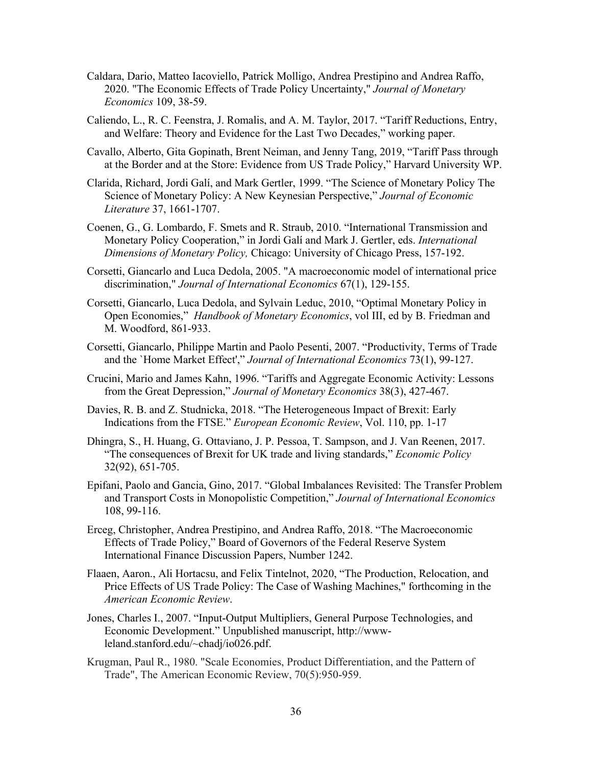- Caldara, Dario, Matteo Iacoviello, Patrick Molligo, Andrea Prestipino and Andrea Raffo, 2020. "The Economic Effects of Trade Policy Uncertainty," *Journal of Monetary Economics* 109, 38-59.
- Caliendo, L., R. C. Feenstra, J. Romalis, and A. M. Taylor, 2017. "Tariff Reductions, Entry, and Welfare: Theory and Evidence for the Last Two Decades," working paper.
- Cavallo, Alberto, Gita Gopinath, Brent Neiman, and Jenny Tang, 2019, "Tariff Pass through at the Border and at the Store: Evidence from US Trade Policy," Harvard University WP.
- Clarida, Richard, Jordi Galí, and Mark Gertler, 1999. "The Science of Monetary Policy The Science of Monetary Policy: A New Keynesian Perspective," *Journal of Economic Literature* 37, 1661-1707.
- Coenen, G., G. Lombardo, F. Smets and R. Straub, 2010. "International Transmission and Monetary Policy Cooperation," in Jordi Galí and Mark J. Gertler, eds. *International Dimensions of Monetary Policy,* Chicago: University of Chicago Press, 157-192.
- Corsetti, Giancarlo and Luca Dedola, 2005. "A macroeconomic model of international price discrimination," *Journal of International Economics* 67(1), 129-155.
- Corsetti, Giancarlo, Luca Dedola, and Sylvain Leduc, 2010, "Optimal Monetary Policy in Open Economies," *Handbook of Monetary Economics*, vol III, ed by B. Friedman and M. Woodford, 861-933.
- Corsetti, Giancarlo, Philippe Martin and Paolo Pesenti, 2007. "Productivity, Terms of Trade and the `Home Market Effect'," *Journal of International Economics* 73(1), 99-127.
- Crucini, Mario and James Kahn, 1996. "Tariffs and Aggregate Economic Activity: Lessons from the Great Depression," *Journal of Monetary Economics* 38(3), 427-467.
- Davies, R. B. and Z. Studnicka, 2018. "The Heterogeneous Impact of Brexit: Early Indications from the FTSE." *European Economic Review*, Vol. 110, pp. 1-17
- Dhingra, S., H. Huang, G. Ottaviano, J. P. Pessoa, T. Sampson, and J. Van Reenen, 2017. "The consequences of Brexit for UK trade and living standards," *Economic Policy* 32(92), 651-705.
- Epifani, Paolo and Gancia, Gino, 2017. "Global Imbalances Revisited: The Transfer Problem and Transport Costs in Monopolistic Competition," *Journal of International Economics* 108, 99-116.
- Erceg, Christopher, Andrea Prestipino, and Andrea Raffo, 2018. "The Macroeconomic Effects of Trade Policy," Board of Governors of the Federal Reserve System International Finance Discussion Papers, Number 1242.
- Flaaen, Aaron., Ali Hortacsu, and Felix Tintelnot, 2020, "The Production, Relocation, and Price Effects of US Trade Policy: The Case of Washing Machines," forthcoming in the *American Economic Review*.
- Jones, Charles I., 2007. "Input-Output Multipliers, General Purpose Technologies, and Economic Development." Unpublished manuscript, http://wwwleland.stanford.edu/~chadj/io026.pdf.
- Krugman, Paul R., 1980. "Scale Economies, Product Differentiation, and the Pattern of Trade", The American Economic Review, 70(5):950-959.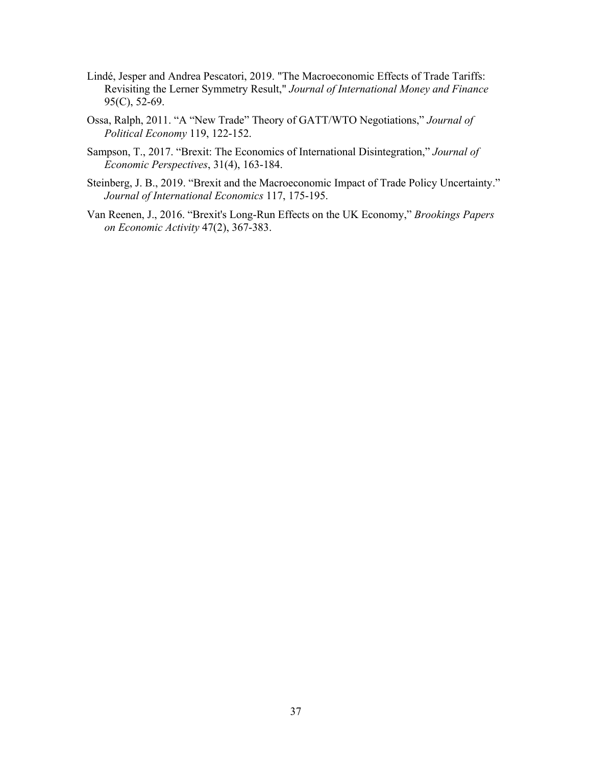- Lindé, Jesper and Andrea Pescatori, 2019. "The Macroeconomic Effects of Trade Tariffs: Revisiting the Lerner Symmetry Result," *Journal of International Money and Finance* 95(C), 52-69.
- Ossa, Ralph, 2011. "A "New Trade" Theory of GATT/WTO Negotiations," *Journal of Political Economy* 119, 122-152.
- Sampson, T., 2017. "Brexit: The Economics of International Disintegration," *Journal of Economic Perspectives*, 31(4), 163-184.
- Steinberg, J. B., 2019. "Brexit and the Macroeconomic Impact of Trade Policy Uncertainty." *Journal of International Economics* 117, 175-195.
- Van Reenen, J., 2016. "Brexit's Long-Run Effects on the UK Economy," *Brookings Papers on Economic Activity* 47(2), 367-383.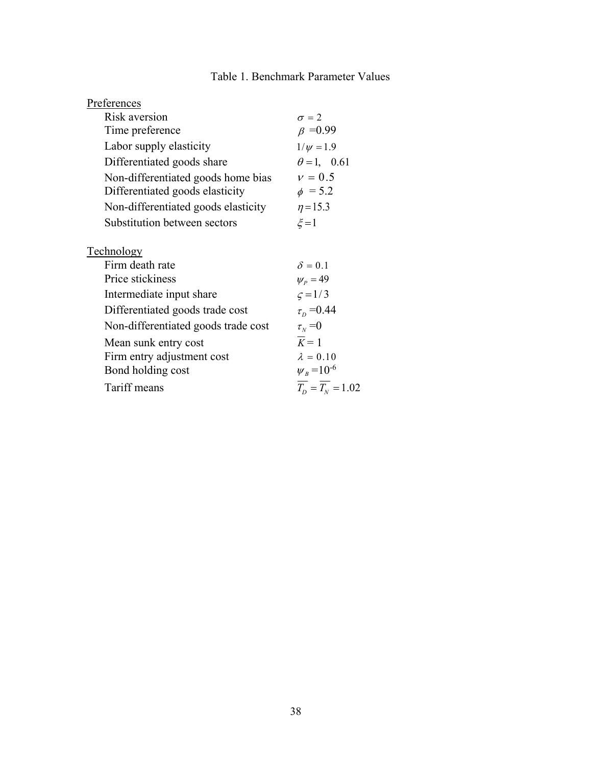### Table 1. Benchmark Parameter Values

| Preferences                         |                    |
|-------------------------------------|--------------------|
| Risk aversion                       | $\sigma = 2$       |
| Time preference                     | $\beta = 0.99$     |
| Labor supply elasticity             | $1/\psi = 1.9$     |
| Differentiated goods share          | $\theta = 1, 0.61$ |
| Non-differentiated goods home bias  | $v = 0.5$          |
| Differentiated goods elasticity     | $\phi = 5.2$       |
| Non-differentiated goods elasticity | $\eta = 15.3$      |
| Substitution between sectors        | $\xi = 1$          |
| <b>Technology</b>                   |                    |
| Firm death rate                     | $\delta = 0.1$     |
| Price stickiness                    | $\psi_p = 49$      |
| Intermediate input share            | $\varsigma = 1/3$  |
| Differentiated goods trade cost     | $\tau_{D} = 0.44$  |
| Non-differentiated goods trade cost | $\tau_{N}$ =0      |
| Mean sunk entry cost                | $K=1$              |
| Firm entry adjustment cost          | $\lambda = 0.10$   |
| Bond holding cost                   | $W_{R} = 10^{-6}$  |
| Tariff means                        | $T_p = T_w = 1.02$ |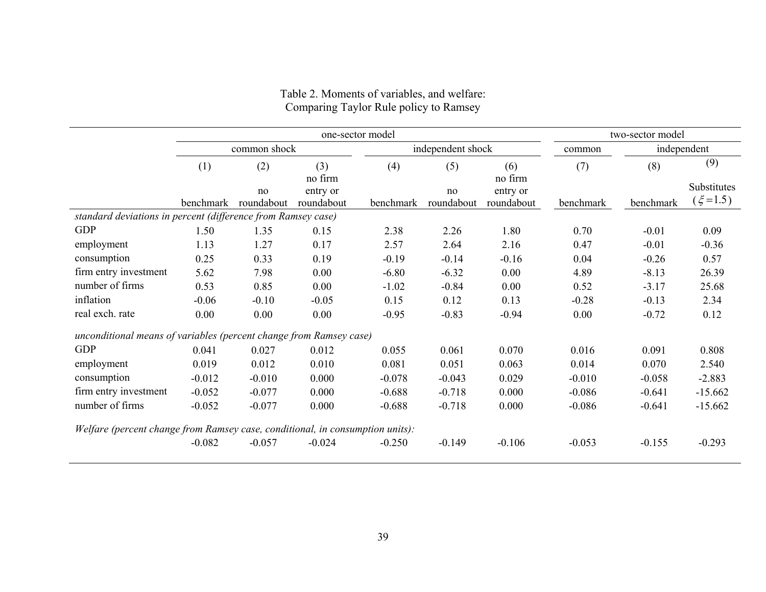|                                                                               | one-sector model |                  |                        |                   |                  |                        | two-sector model |             |                              |
|-------------------------------------------------------------------------------|------------------|------------------|------------------------|-------------------|------------------|------------------------|------------------|-------------|------------------------------|
|                                                                               | common shock     |                  |                        | independent shock |                  |                        | common           | independent |                              |
|                                                                               | (1)              | (2)              | (3)<br>no firm         | (4)               | (5)              | (6)<br>no firm         | (7)              | (8)         | (9)                          |
|                                                                               | benchmark        | no<br>roundabout | entry or<br>roundabout | benchmark         | no<br>roundabout | entry or<br>roundabout | benchmark        | benchmark   | Substitutes<br>$(\xi = 1.5)$ |
| standard deviations in percent (difference from Ramsey case)                  |                  |                  |                        |                   |                  |                        |                  |             |                              |
| <b>GDP</b>                                                                    | 1.50             | 1.35             | 0.15                   | 2.38              | 2.26             | 1.80                   | 0.70             | $-0.01$     | 0.09                         |
| employment                                                                    | 1.13             | 1.27             | 0.17                   | 2.57              | 2.64             | 2.16                   | 0.47             | $-0.01$     | $-0.36$                      |
| consumption                                                                   | 0.25             | 0.33             | 0.19                   | $-0.19$           | $-0.14$          | $-0.16$                | 0.04             | $-0.26$     | 0.57                         |
| firm entry investment                                                         | 5.62             | 7.98             | 0.00                   | $-6.80$           | $-6.32$          | 0.00                   | 4.89             | $-8.13$     | 26.39                        |
| number of firms                                                               | 0.53             | 0.85             | 0.00                   | $-1.02$           | $-0.84$          | 0.00                   | 0.52             | $-3.17$     | 25.68                        |
| inflation                                                                     | $-0.06$          | $-0.10$          | $-0.05$                | 0.15              | 0.12             | 0.13                   | $-0.28$          | $-0.13$     | 2.34                         |
| real exch. rate                                                               | 0.00             | 0.00             | 0.00                   | $-0.95$           | $-0.83$          | $-0.94$                | 0.00             | $-0.72$     | 0.12                         |
| unconditional means of variables (percent change from Ramsey case)            |                  |                  |                        |                   |                  |                        |                  |             |                              |
| <b>GDP</b>                                                                    | 0.041            | 0.027            | 0.012                  | 0.055             | 0.061            | 0.070                  | 0.016            | 0.091       | 0.808                        |
| employment                                                                    | 0.019            | 0.012            | 0.010                  | 0.081             | 0.051            | 0.063                  | 0.014            | 0.070       | 2.540                        |
| consumption                                                                   | $-0.012$         | $-0.010$         | 0.000                  | $-0.078$          | $-0.043$         | 0.029                  | $-0.010$         | $-0.058$    | $-2.883$                     |
| firm entry investment                                                         | $-0.052$         | $-0.077$         | 0.000                  | $-0.688$          | $-0.718$         | 0.000                  | $-0.086$         | $-0.641$    | $-15.662$                    |
| number of firms                                                               | $-0.052$         | $-0.077$         | 0.000                  | $-0.688$          | $-0.718$         | 0.000                  | $-0.086$         | $-0.641$    | $-15.662$                    |
| Welfare (percent change from Ramsey case, conditional, in consumption units): |                  |                  |                        |                   |                  |                        |                  |             |                              |
|                                                                               | $-0.082$         | $-0.057$         | $-0.024$               | $-0.250$          | $-0.149$         | $-0.106$               | $-0.053$         | $-0.155$    | $-0.293$                     |

#### Table 2. Moments of variables, and welfare: Comparing Taylor Rule policy to Ramsey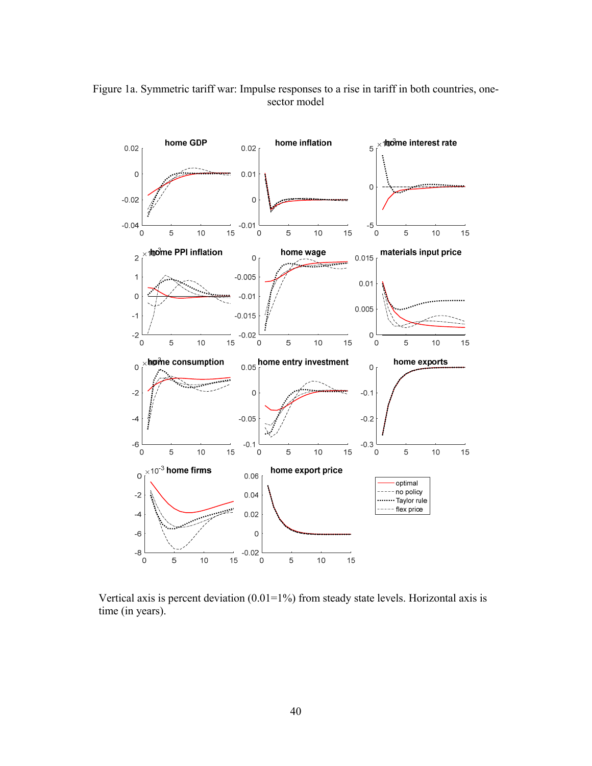

Figure 1a. Symmetric tariff war: Impulse responses to a rise in tariff in both countries, onesector model

Vertical axis is percent deviation  $(0.01=1\%)$  from steady state levels. Horizontal axis is time (in years).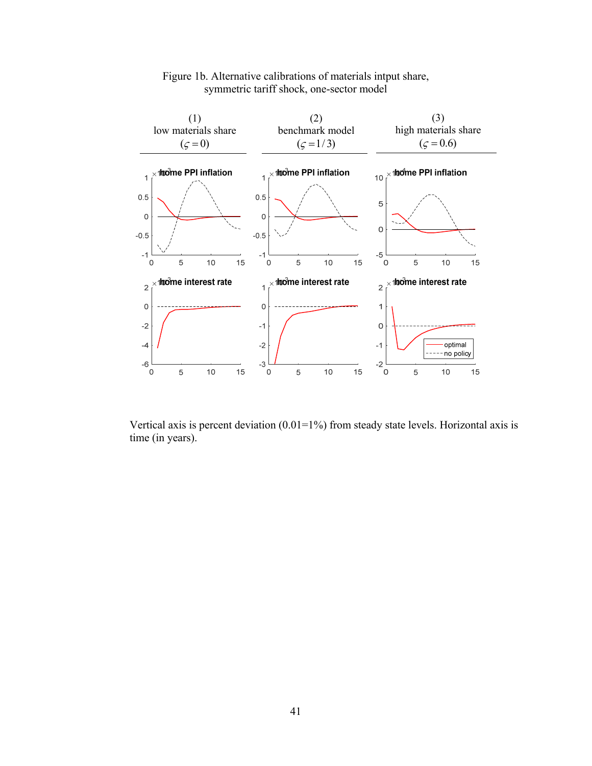

#### Figure 1b. Alternative calibrations of materials intput share, symmetric tariff shock, one-sector model

Vertical axis is percent deviation  $(0.01=1\%)$  from steady state levels. Horizontal axis is time (in years).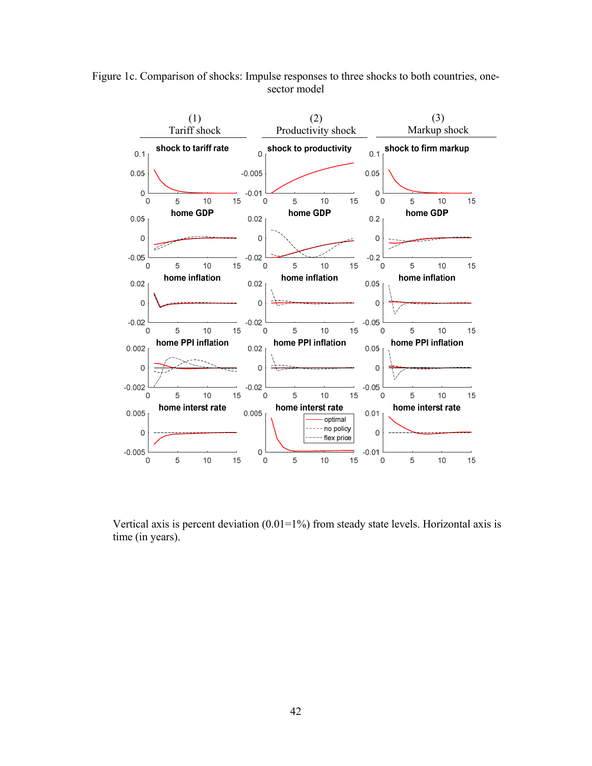



Vertical axis is percent deviation  $(0.01=1\%)$  from steady state levels. Horizontal axis is time (in years).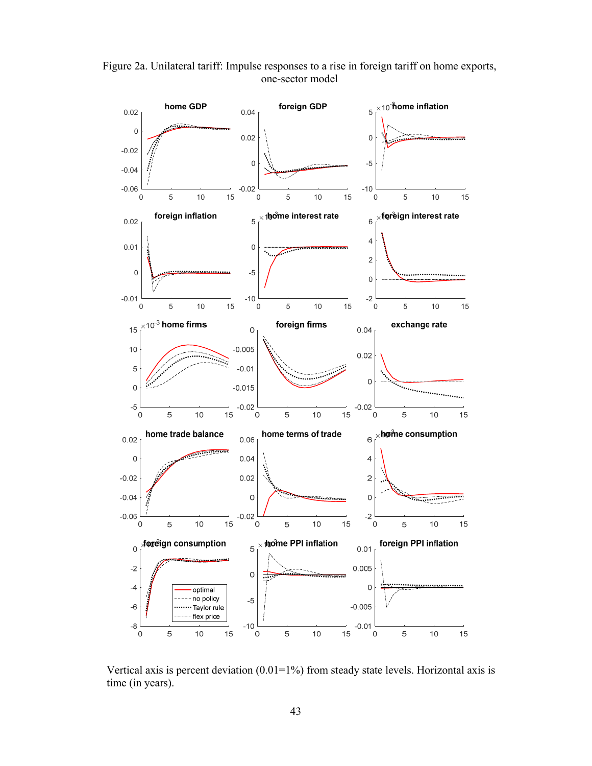

Figure 2a. Unilateral tariff: Impulse responses to a rise in foreign tariff on home exports, one-sector model

Vertical axis is percent deviation  $(0.01=1\%)$  from steady state levels. Horizontal axis is time (in years).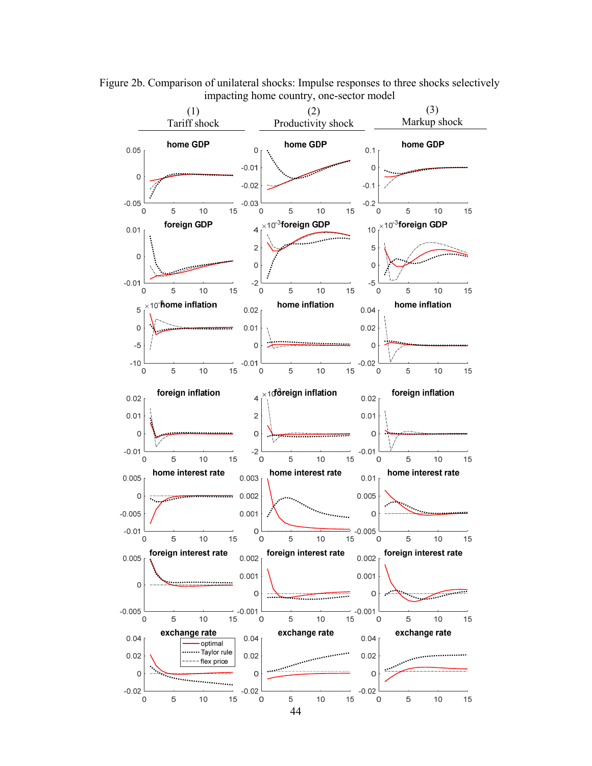

Figure 2b. Comparison of unilateral shocks: Impulse responses to three shocks selectively impacting home country, one-sector model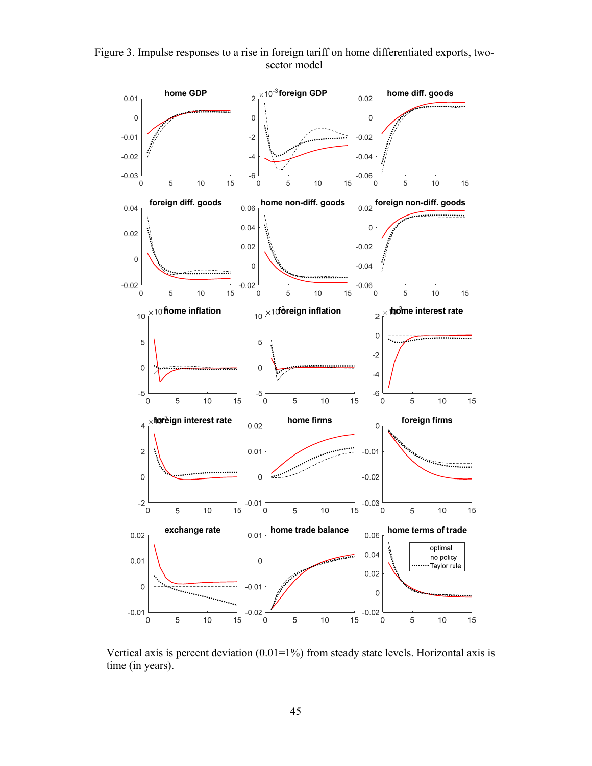Figure 3. Impulse responses to a rise in foreign tariff on home differentiated exports, twosector model



Vertical axis is percent deviation  $(0.01=1\%)$  from steady state levels. Horizontal axis is time (in years).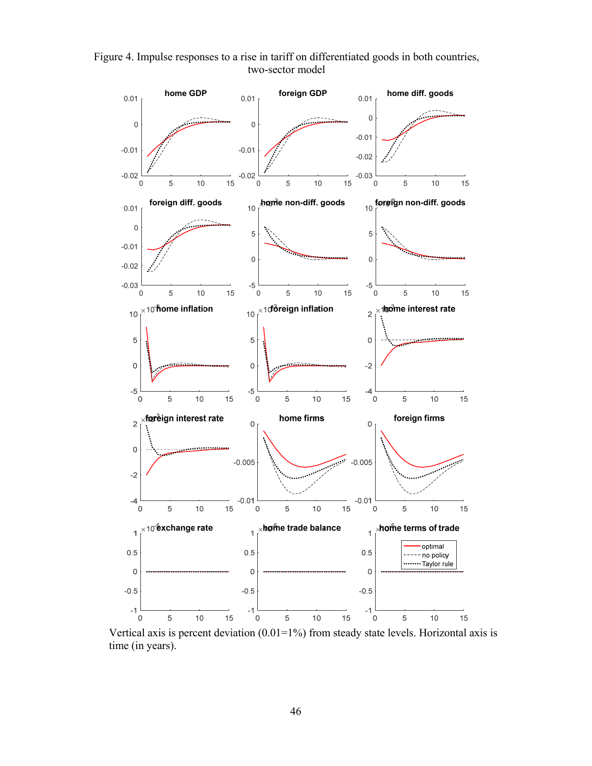Figure 4. Impulse responses to a rise in tariff on differentiated goods in both countries, two-sector model



Vertical axis is percent deviation  $(0.01=1\%)$  from steady state levels. Horizontal axis is time (in years).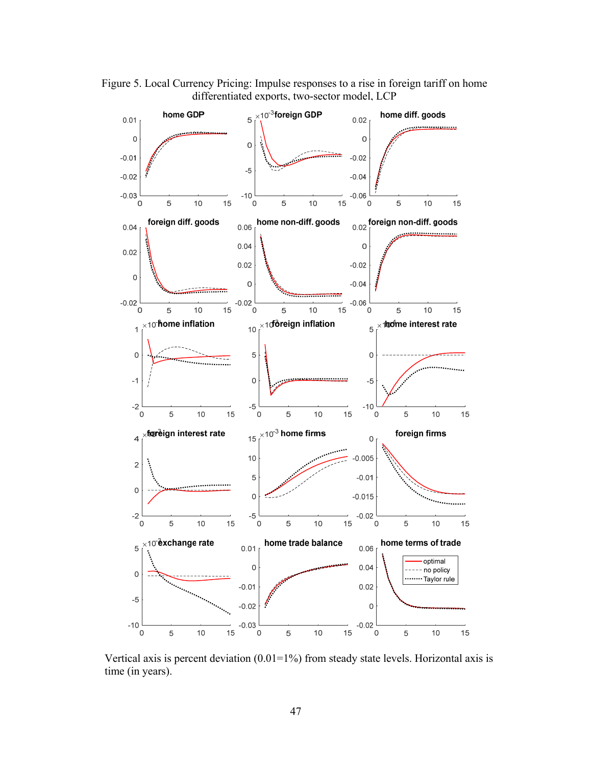Figure 5. Local Currency Pricing: Impulse responses to a rise in foreign tariff on home differentiated exports, two-sector model, LCP



Vertical axis is percent deviation  $(0.01=1\%)$  from steady state levels. Horizontal axis is time (in years).